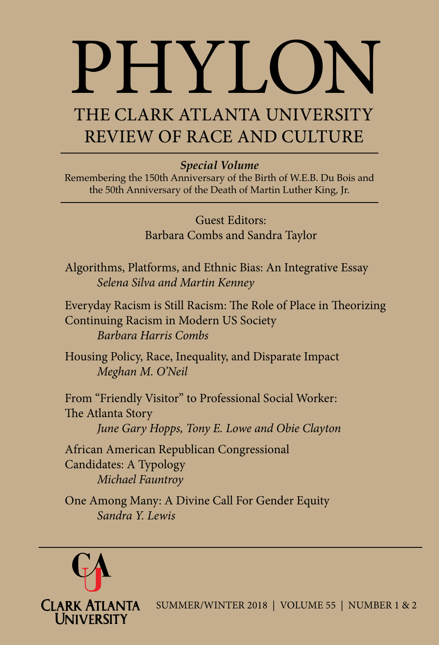# PHYLON

# THE CLARK ATLANTA UNIVERSITY REVIEW OF RACE AND CULTURE

# *Special Volume*

Remembering the 150th Anniversary of the Birth of W.E.B. Du Bois and the 50th Anniversary of the Death of Martin Luther King, Jr.

> Guest Editors: Barbara Combs and Sandra Taylor

Algorithms, Platforms, and Ethnic Bias: An Integrative Essay *Selena Silva and Martin Kenney*

Everyday Racism is Still Racism: The Role of Place in Theorizing Continuing Racism in Modern US Society *Barbara Harris Combs*

Housing Policy, Race, Inequality, and Disparate Impact *Meghan M. O'Neil* 

From "Friendly Visitor" to Professional Social Worker: The Atlanta Story

*June Gary Hopps, Tony E. Lowe and Obie Clayton*

African American Republican Congressional Candidates: A Typology *Michael Fauntroy*

One Among Many: A Divine Call For Gender Equity *Sandra Y. Lewis*



SUMMER/WINTER 2018 | VOLUME 55 | NUMBER 1 & 2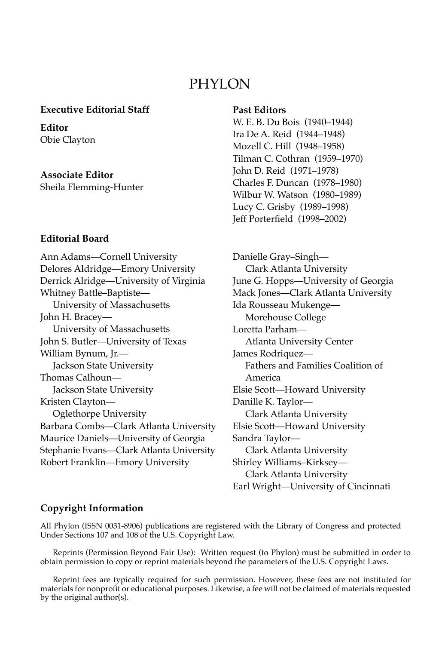# PHYLON

#### **Executive Editorial Staff**

**Editor** Obie Clayton

**Associate Editor** Sheila Flemming-Hunter

#### **Editorial Board**

Ann Adams—Cornell University Delores Aldridge—Emory University Derrick Alridge—University of Virginia Whitney Battle–Baptiste— University of Massachusetts John H. Bracey— University of Massachusetts John S. Butler—University of Texas William Bynum, Jr.— Jackson State University Thomas Calhoun— Jackson State University Kristen Clayton— Oglethorpe University Barbara Combs—Clark Atlanta University Maurice Daniels—University of Georgia Stephanie Evans—Clark Atlanta University Robert Franklin—Emory University

#### **Past Editors**

W. E. B. Du Bois (1940–1944) Ira De A. Reid (1944–1948) Mozell C. Hill (1948–1958) Tilman C. Cothran (1959–1970) John D. Reid (1971–1978) Charles F. Duncan (1978–1980) Wilbur W. Watson (1980–1989) Lucy C. Grisby (1989–1998) Jeff Porterfield (1998–2002)

Danielle Gray–Singh— Clark Atlanta University June G. Hopps—University of Georgia Mack Jones—Clark Atlanta University Ida Rousseau Mukenge— Morehouse College Loretta Parham— Atlanta University Center James Rodriquez— Fathers and Families Coalition of America Elsie Scott—Howard University Danille K. Taylor— Clark Atlanta University Elsie Scott—Howard University Sandra Taylor— Clark Atlanta University Shirley Williams–Kirksey— Clark Atlanta University Earl Wright—University of Cincinnati

#### **Copyright Information**

All Phylon (ISSN 0031-8906) publications are registered with the Library of Congress and protected Under Sections 107 and 108 of the U.S. Copyright Law.

Reprints (Permission Beyond Fair Use): Written request (to Phylon) must be submitted in order to obtain permission to copy or reprint materials beyond the parameters of the U.S. Copyright Laws.

Reprint fees are typically required for such permission. However, these fees are not instituted for materials for nonprofit or educational purposes. Likewise, a fee will not be claimed of materials requested by the original author(s).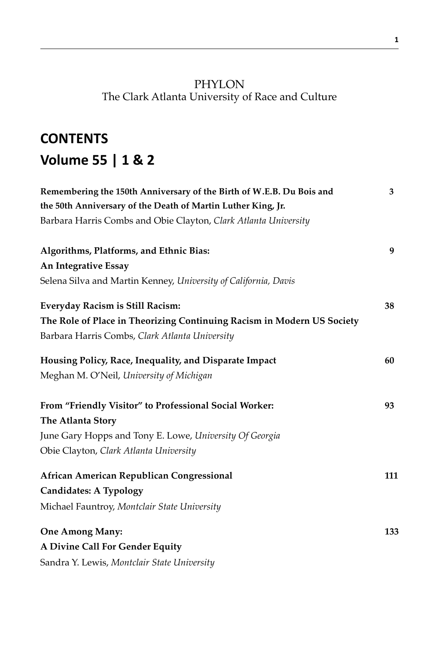# PHYLON The Clark Atlanta University of Race and Culture

# **CONTENTS Volume 55 | 1 & 2**

| Remembering the 150th Anniversary of the Birth of W.E.B. Du Bois and   | 3   |
|------------------------------------------------------------------------|-----|
| the 50th Anniversary of the Death of Martin Luther King, Jr.           |     |
| Barbara Harris Combs and Obie Clayton, Clark Atlanta University        |     |
| Algorithms, Platforms, and Ethnic Bias:                                | 9   |
| An Integrative Essay                                                   |     |
| Selena Silva and Martin Kenney, University of California, Davis        |     |
| Everyday Racism is Still Racism:                                       | 38  |
| The Role of Place in Theorizing Continuing Racism in Modern US Society |     |
| Barbara Harris Combs, Clark Atlanta University                         |     |
| Housing Policy, Race, Inequality, and Disparate Impact                 | 60  |
| Meghan M. O'Neil, University of Michigan                               |     |
| From "Friendly Visitor" to Professional Social Worker:                 | 93  |
| The Atlanta Story                                                      |     |
| June Gary Hopps and Tony E. Lowe, University Of Georgia                |     |
| Obie Clayton, Clark Atlanta University                                 |     |
| African American Republican Congressional                              | 111 |
| <b>Candidates: A Typology</b>                                          |     |
| Michael Fauntroy, Montclair State University                           |     |
| <b>One Among Many:</b>                                                 | 133 |
| A Divine Call For Gender Equity                                        |     |
| Sandra Y. Lewis, Montclair State University                            |     |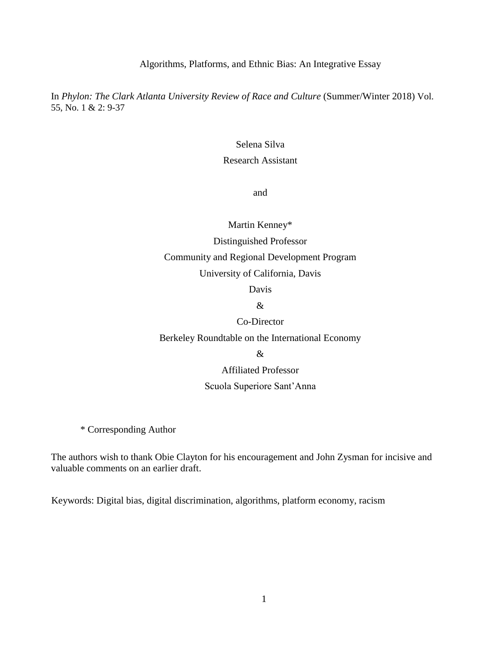Algorithms, Platforms, and Ethnic Bias: An Integrative Essay

In *Phylon: The Clark Atlanta University Review of Race and Culture* (Summer/Winter 2018) Vol. 55, No. 1 & 2: 9-37

#### Selena Silva

## Research Assistant

and

Martin Kenney\* Distinguished Professor Community and Regional Development Program University of California, Davis

Davis

&

Co-Director

Berkeley Roundtable on the International Economy

Affiliated Professor

#### Scuola Superiore Sant'Anna

\* Corresponding Author

The authors wish to thank Obie Clayton for his encouragement and John Zysman for incisive and valuable comments on an earlier draft.

Keywords: Digital bias, digital discrimination, algorithms, platform economy, racism

<sup>&</sup>amp;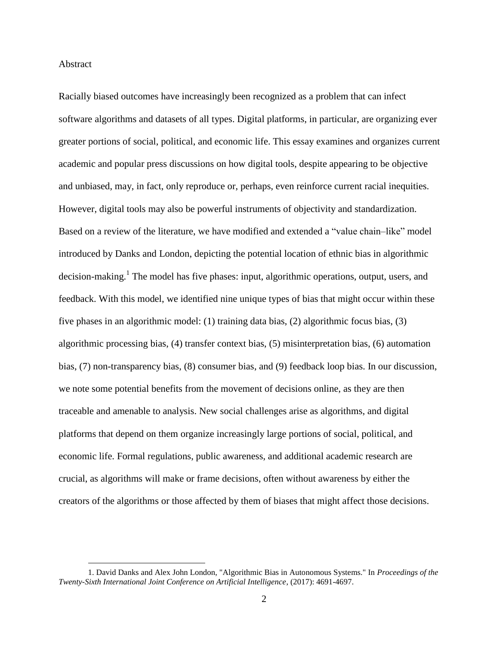#### Abstract

 $\overline{a}$ 

Racially biased outcomes have increasingly been recognized as a problem that can infect software algorithms and datasets of all types. Digital platforms, in particular, are organizing ever greater portions of social, political, and economic life. This essay examines and organizes current academic and popular press discussions on how digital tools, despite appearing to be objective and unbiased, may, in fact, only reproduce or, perhaps, even reinforce current racial inequities. However, digital tools may also be powerful instruments of objectivity and standardization. Based on a review of the literature, we have modified and extended a "value chain–like" model introduced by Danks and London, depicting the potential location of ethnic bias in algorithmic decision-making.<sup>1</sup> The model has five phases: input, algorithmic operations, output, users, and feedback. With this model, we identified nine unique types of bias that might occur within these five phases in an algorithmic model: (1) training data bias, (2) algorithmic focus bias, (3) algorithmic processing bias, (4) transfer context bias, (5) misinterpretation bias, (6) automation bias, (7) non-transparency bias, (8) consumer bias, and (9) feedback loop bias. In our discussion, we note some potential benefits from the movement of decisions online, as they are then traceable and amenable to analysis. New social challenges arise as algorithms, and digital platforms that depend on them organize increasingly large portions of social, political, and economic life. Formal regulations, public awareness, and additional academic research are crucial, as algorithms will make or frame decisions, often without awareness by either the creators of the algorithms or those affected by them of biases that might affect those decisions.

<sup>1.</sup> David Danks and Alex John London, "Algorithmic Bias in Autonomous Systems." In *Proceedings of the Twenty-Sixth International Joint Conference on Artificial Intelligence*, (2017): 4691-4697.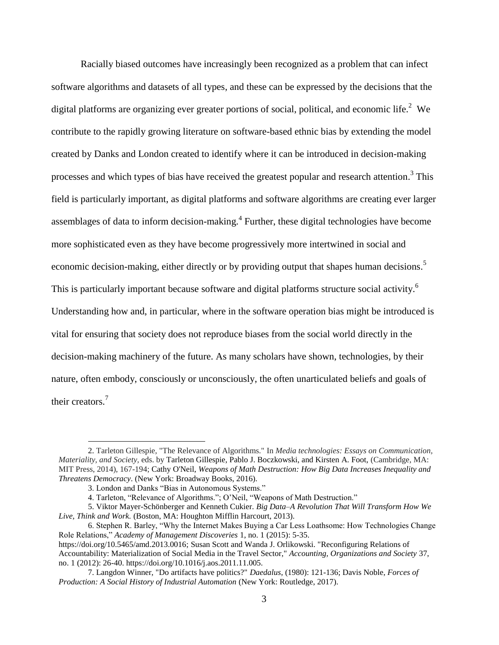Racially biased outcomes have increasingly been recognized as a problem that can infect software algorithms and datasets of all types, and these can be expressed by the decisions that the digital platforms are organizing ever greater portions of social, political, and economic life.<sup>2</sup> We contribute to the rapidly growing literature on software-based ethnic bias by extending the model created by Danks and London created to identify where it can be introduced in decision-making processes and which types of bias have received the greatest popular and research attention.<sup>3</sup> This field is particularly important, as digital platforms and software algorithms are creating ever larger assemblages of data to inform decision-making. $4$  Further, these digital technologies have become more sophisticated even as they have become progressively more intertwined in social and economic decision-making, either directly or by providing output that shapes human decisions.<sup>5</sup> This is particularly important because software and digital platforms structure social activity.<sup>6</sup> Understanding how and, in particular, where in the software operation bias might be introduced is vital for ensuring that society does not reproduce biases from the social world directly in the decision-making machinery of the future. As many scholars have shown, technologies, by their nature, often embody, consciously or unconsciously, the often unarticulated beliefs and goals of their creators.<sup>7</sup>

<sup>2.</sup> Tarleton Gillespie, "The Relevance of Algorithms." In *Media technologies: Essays on Communication, Materiality, and Society,* eds. by Tarleton Gillespie, Pablo J. Boczkowski, and Kirsten A. Foot, (Cambridge, MA: MIT Press, 2014), 167-194; Cathy O'Neil, *Weapons of Math Destruction: How Big Data Increases Inequality and Threatens Democracy*. (New York: Broadway Books, 2016).

<sup>3.</sup> London and Danks "Bias in Autonomous Systems."

<sup>4.</sup> Tarleton, "Relevance of Algorithms."; O'Neil, "Weapons of Math Destruction."

<sup>5.</sup> Viktor Mayer-Schönberger and Kenneth Cukier. *Big Data–A Revolution That Will Transform How We Live, Think and Work.* (Boston, MA: Houghton Mifflin Harcourt, 2013).

<sup>6.</sup> Stephen R. Barley, "Why the Internet Makes Buying a Car Less Loathsome: How Technologies Change Role Relations," *Academy of Management Discoveries* 1, no. 1 (2015): 5-35. https://doi.org/10.5465/amd.2013.0016; Susan Scott and Wanda J. Orlikowski. "Reconfiguring Relations of Accountability: Materialization of Social Media in the Travel Sector," *Accounting, Organizations and Society* 37, no. 1 (2012): 26-40. https://doi.org/10.1016/j.aos.2011.11.005.

<sup>7.</sup> Langdon Winner, "Do artifacts have politics?" *Daedalus*, (1980): 121-136; Davis Noble, *Forces of Production: A Social History of Industrial Automation* (New York: Routledge, 2017).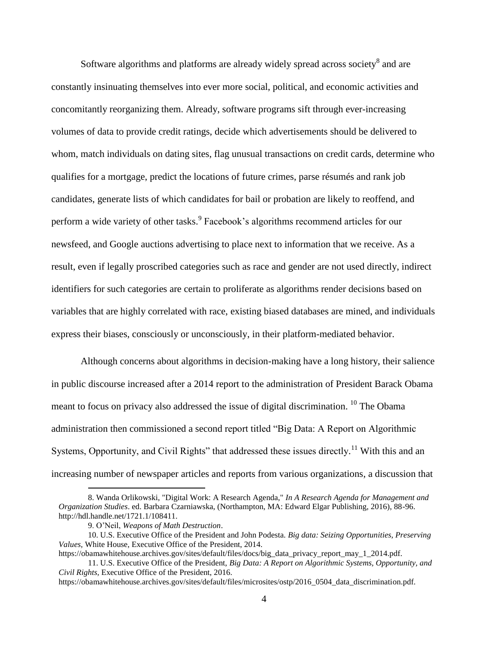Software algorithms and platforms are already widely spread across society<sup>8</sup> and are constantly insinuating themselves into ever more social, political, and economic activities and concomitantly reorganizing them. Already, software programs sift through ever-increasing volumes of data to provide credit ratings, decide which advertisements should be delivered to whom, match individuals on dating sites, flag unusual transactions on credit cards, determine who qualifies for a mortgage, predict the locations of future crimes, parse résumés and rank job candidates, generate lists of which candidates for bail or probation are likely to reoffend, and perform a wide variety of other tasks.<sup>9</sup> Facebook's algorithms recommend articles for our newsfeed, and Google auctions advertising to place next to information that we receive. As a result, even if legally proscribed categories such as race and gender are not used directly, indirect identifiers for such categories are certain to proliferate as algorithms render decisions based on variables that are highly correlated with race, existing biased databases are mined, and individuals express their biases, consciously or unconsciously, in their platform-mediated behavior.

Although concerns about algorithms in decision-making have a long history, their salience in public discourse increased after a 2014 report to the administration of President Barack Obama meant to focus on privacy also addressed the issue of digital discrimination. <sup>10</sup> The Obama administration then commissioned a second report titled "Big Data: A Report on Algorithmic Systems, Opportunity, and Civil Rights" that addressed these issues directly.<sup>11</sup> With this and an increasing number of newspaper articles and reports from various organizations, a discussion that

<sup>8.</sup> Wanda Orlikowski, "Digital Work: A Research Agenda," *In A Research Agenda for Management and Organization Studies*. ed. Barbara Czarniawska, (Northampton, MA: Edward Elgar Publishing, 2016), 88-96. http://hdl.handle.net/1721.1/108411.

<sup>9.</sup> O'Neil, *Weapons of Math Destruction*.

<sup>10.</sup> U.S. Executive Office of the President and John Podesta. *Big data: Seizing Opportunities, Preserving Values,* White House, Executive Office of the President, 2014.

https://obamawhitehouse.archives.gov/sites/default/files/docs/big\_data\_privacy\_report\_may\_1\_2014.pdf.

<sup>11.</sup> U.S. Executive Office of the President, *Big Data: A Report on Algorithmic Systems, Opportunity, and Civil Rights,* Executive Office of the President, 2016.

https://obamawhitehouse.archives.gov/sites/default/files/microsites/ostp/2016\_0504\_data\_discrimination.pdf.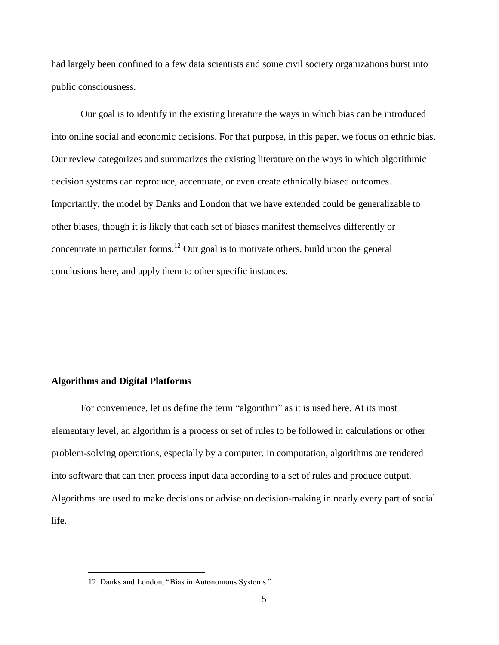had largely been confined to a few data scientists and some civil society organizations burst into public consciousness.

Our goal is to identify in the existing literature the ways in which bias can be introduced into online social and economic decisions. For that purpose, in this paper, we focus on ethnic bias. Our review categorizes and summarizes the existing literature on the ways in which algorithmic decision systems can reproduce, accentuate, or even create ethnically biased outcomes. Importantly, the model by Danks and London that we have extended could be generalizable to other biases, though it is likely that each set of biases manifest themselves differently or concentrate in particular forms.<sup>12</sup> Our goal is to motivate others, build upon the general conclusions here, and apply them to other specific instances.

#### **Algorithms and Digital Platforms**

 $\overline{a}$ 

For convenience, let us define the term "algorithm" as it is used here. At its most elementary level, an algorithm is a process or set of rules to be followed in calculations or other problem-solving operations, especially by a computer. In computation, algorithms are rendered into software that can then process input data according to a set of rules and produce output. Algorithms are used to make decisions or advise on decision-making in nearly every part of social life.

<sup>12.</sup> Danks and London, "Bias in Autonomous Systems."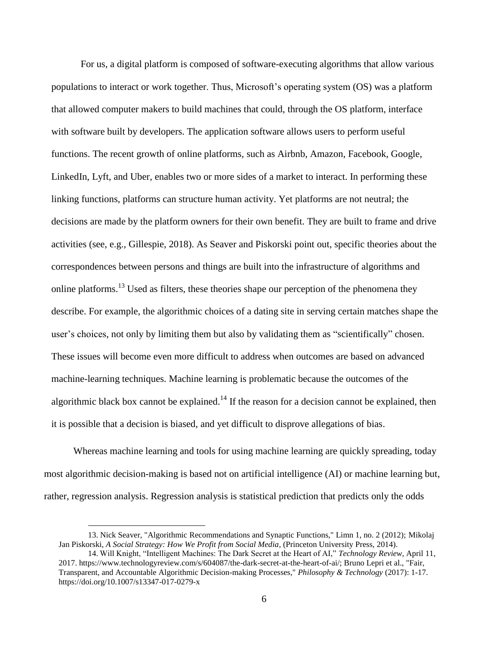For us, a digital platform is composed of software-executing algorithms that allow various populations to interact or work together. Thus, Microsoft's operating system (OS) was a platform that allowed computer makers to build machines that could, through the OS platform, interface with software built by developers. The application software allows users to perform useful functions. The recent growth of online platforms, such as Airbnb, Amazon, Facebook, Google, LinkedIn, Lyft, and Uber, enables two or more sides of a market to interact. In performing these linking functions, platforms can structure human activity. Yet platforms are not neutral; the decisions are made by the platform owners for their own benefit. They are built to frame and drive activities (see, e.g., Gillespie, 2018). As Seaver and Piskorski point out, specific theories about the correspondences between persons and things are built into the infrastructure of algorithms and online platforms.<sup>13</sup> Used as filters, these theories shape our perception of the phenomena they describe. For example, the algorithmic choices of a dating site in serving certain matches shape the user's choices, not only by limiting them but also by validating them as "scientifically" chosen. These issues will become even more difficult to address when outcomes are based on advanced machine-learning techniques. Machine learning is problematic because the outcomes of the algorithmic black box cannot be explained.<sup>14</sup> If the reason for a decision cannot be explained, then it is possible that a decision is biased, and yet difficult to disprove allegations of bias.

Whereas machine learning and tools for using machine learning are quickly spreading, today most algorithmic decision-making is based not on artificial intelligence (AI) or machine learning but, rather, regression analysis. Regression analysis is statistical prediction that predicts only the odds

<sup>13.</sup> Nick Seaver, "Algorithmic Recommendations and Synaptic Functions," Limn 1, no. 2 (2012); Mikolaj Jan Piskorski, *A Social Strategy: How We Profit from Social Media*, (Princeton University Press, 2014).

<sup>14.</sup> Will Knight, "Intelligent Machines: The Dark Secret at the Heart of AI," *Technology Review*, April 11, 2017. https://www.technologyreview.com/s/604087/the-dark-secret-at-the-heart-of-ai/; Bruno Lepri et al., "Fair, Transparent, and Accountable Algorithmic Decision-making Processes," *Philosophy & Technology* (2017): 1-17. https://doi.org/10.1007/s13347-017-0279-x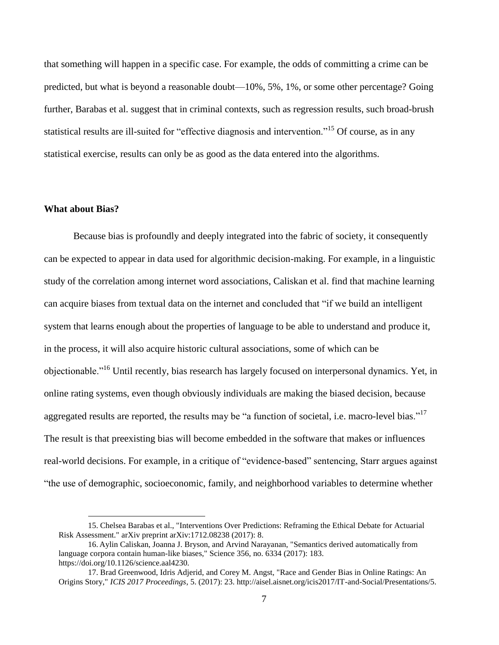that something will happen in a specific case. For example, the odds of committing a crime can be predicted, but what is beyond a reasonable doubt—10%, 5%, 1%, or some other percentage? Going further, Barabas et al. suggest that in criminal contexts, such as regression results, such broad-brush statistical results are ill-suited for "effective diagnosis and intervention."<sup>15</sup> Of course, as in any statistical exercise, results can only be as good as the data entered into the algorithms.

#### **What about Bias?**

 $\overline{a}$ 

Because bias is profoundly and deeply integrated into the fabric of society, it consequently can be expected to appear in data used for algorithmic decision-making. For example, in a linguistic study of the correlation among internet word associations, Caliskan et al. find that machine learning can acquire biases from textual data on the internet and concluded that "if we build an intelligent system that learns enough about the properties of language to be able to understand and produce it, in the process, it will also acquire historic cultural associations, some of which can be objectionable."<sup>16</sup> Until recently, bias research has largely focused on interpersonal dynamics. Yet, in online rating systems, even though obviously individuals are making the biased decision, because aggregated results are reported, the results may be "a function of societal, i.e. macro-level bias." The result is that preexisting bias will become embedded in the software that makes or influences real-world decisions. For example, in a critique of "evidence-based" sentencing, Starr argues against "the use of demographic, socioeconomic, family, and neighborhood variables to determine whether

<sup>15.</sup> Chelsea Barabas et al., "Interventions Over Predictions: Reframing the Ethical Debate for Actuarial Risk Assessment." arXiv preprint arXiv:1712.08238 (2017): 8.

<sup>16.</sup> Aylin Caliskan, Joanna J. Bryson, and Arvind Narayanan, "Semantics derived automatically from language corpora contain human-like biases," Science 356, no. 6334 (2017): 183. https://doi.org/10.1126/science.aal4230.

<sup>17.</sup> Brad Greenwood, Idris Adjerid, and Corey M. Angst, "Race and Gender Bias in Online Ratings: An Origins Story," *ICIS 2017 Proceedings*, 5. (2017): 23. http://aisel.aisnet.org/icis2017/IT-and-Social/Presentations/5.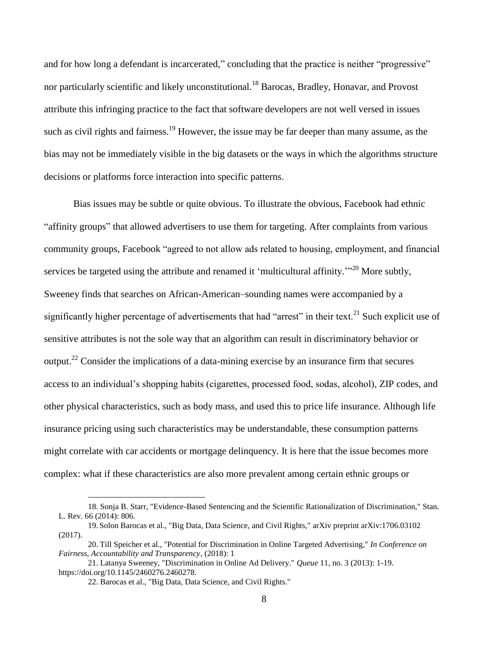and for how long a defendant is incarcerated," concluding that the practice is neither "progressive" nor particularly scientific and likely unconstitutional.<sup>18</sup> Barocas, Bradley, Honavar, and Provost attribute this infringing practice to the fact that software developers are not well versed in issues such as civil rights and fairness.<sup>19</sup> However, the issue may be far deeper than many assume, as the bias may not be immediately visible in the big datasets or the ways in which the algorithms structure decisions or platforms force interaction into specific patterns.

Bias issues may be subtle or quite obvious. To illustrate the obvious, Facebook had ethnic "affinity groups" that allowed advertisers to use them for targeting. After complaints from various community groups, Facebook "agreed to not allow ads related to housing, employment, and financial services be targeted using the attribute and renamed it 'multicultural affinity.'"<sup>20</sup> More subtly, Sweeney finds that searches on African-American–sounding names were accompanied by a significantly higher percentage of advertisements that had "arrest" in their text.<sup>21</sup> Such explicit use of sensitive attributes is not the sole way that an algorithm can result in discriminatory behavior or output.<sup>22</sup> Consider the implications of a data-mining exercise by an insurance firm that secures access to an individual's shopping habits (cigarettes, processed food, sodas, alcohol), ZIP codes, and other physical characteristics, such as body mass, and used this to price life insurance. Although life insurance pricing using such characteristics may be understandable, these consumption patterns might correlate with car accidents or mortgage delinquency. It is here that the issue becomes more complex: what if these characteristics are also more prevalent among certain ethnic groups or

<sup>18.</sup> Sonja B. Starr, "Evidence-Based Sentencing and the Scientific Rationalization of Discrimination," Stan. L. Rev. 66 (2014): 806.

<sup>19.</sup> Solon Barocas et al., "Big Data, Data Science, and Civil Rights," arXiv preprint arXiv:1706.03102 (2017).

<sup>20.</sup> Till Speicher et al., "Potential for Discrimination in Online Targeted Advertising," *In Conference on Fairness, Accountability and Transparency*, (2018): 1

<sup>21.</sup> Latanya Sweeney, "Discrimination in Online Ad Delivery." *Queue* 11, no. 3 (2013): 1-19. https://doi.org/10.1145/2460276.2460278.

<sup>22.</sup> Barocas et al., "Big Data, Data Science, and Civil Rights."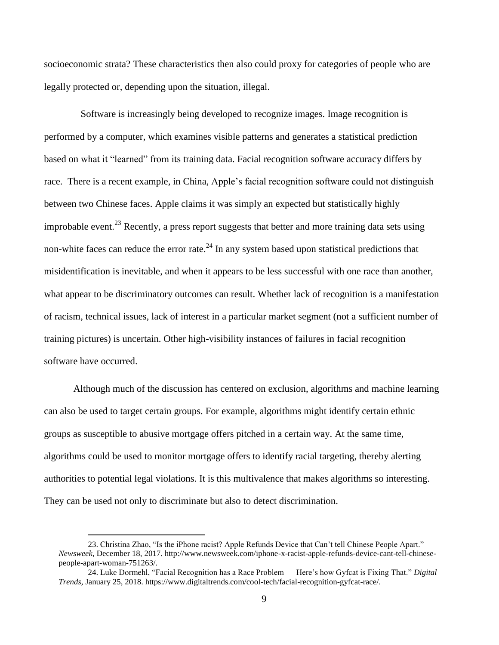socioeconomic strata? These characteristics then also could proxy for categories of people who are legally protected or, depending upon the situation, illegal.

Software is increasingly being developed to recognize images. Image recognition is performed by a computer, which examines visible patterns and generates a statistical prediction based on what it "learned" from its training data. Facial recognition software accuracy differs by race. There is a recent example, in China, Apple's facial recognition software could not distinguish between two Chinese faces. Apple claims it was simply an expected but statistically highly improbable event.<sup>23</sup> Recently, a press report suggests that better and more training data sets using non-white faces can reduce the error rate.<sup>24</sup> In any system based upon statistical predictions that misidentification is inevitable, and when it appears to be less successful with one race than another, what appear to be discriminatory outcomes can result. Whether lack of recognition is a manifestation of racism, technical issues, lack of interest in a particular market segment (not a sufficient number of training pictures) is uncertain. Other high-visibility instances of failures in facial recognition software have occurred.

Although much of the discussion has centered on exclusion, algorithms and machine learning can also be used to target certain groups. For example, algorithms might identify certain ethnic groups as susceptible to abusive mortgage offers pitched in a certain way. At the same time, algorithms could be used to monitor mortgage offers to identify racial targeting, thereby alerting authorities to potential legal violations. It is this multivalence that makes algorithms so interesting. They can be used not only to discriminate but also to detect discrimination.

<sup>23.</sup> Christina Zhao, "Is the iPhone racist? Apple Refunds Device that Can't tell Chinese People Apart." *Newsweek*, December 18, 2017. http://www.newsweek.com/iphone-x-racist-apple-refunds-device-cant-tell-chinesepeople-apart-woman-751263/.

<sup>24.</sup> Luke Dormehl, "Facial Recognition has a Race Problem — Here's how Gyfcat is Fixing That." *Digital Trends*, January 25, 2018. https://www.digitaltrends.com/cool-tech/facial-recognition-gyfcat-race/.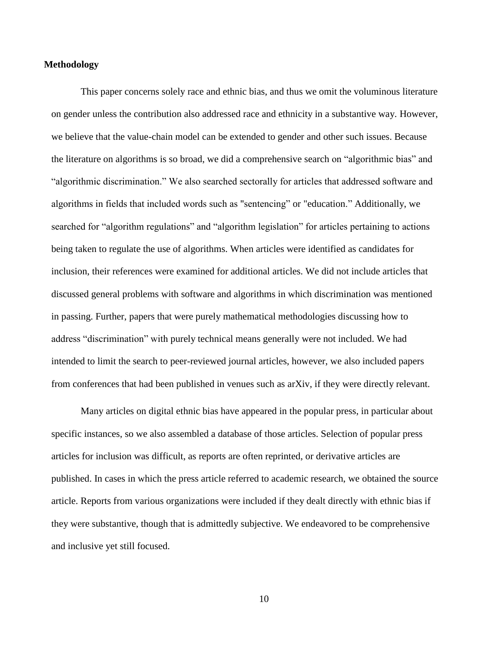## **Methodology**

This paper concerns solely race and ethnic bias, and thus we omit the voluminous literature on gender unless the contribution also addressed race and ethnicity in a substantive way. However, we believe that the value-chain model can be extended to gender and other such issues. Because the literature on algorithms is so broad, we did a comprehensive search on "algorithmic bias" and "algorithmic discrimination." We also searched sectorally for articles that addressed software and algorithms in fields that included words such as "sentencing" or "education." Additionally, we searched for "algorithm regulations" and "algorithm legislation" for articles pertaining to actions being taken to regulate the use of algorithms. When articles were identified as candidates for inclusion, their references were examined for additional articles. We did not include articles that discussed general problems with software and algorithms in which discrimination was mentioned in passing. Further, papers that were purely mathematical methodologies discussing how to address "discrimination" with purely technical means generally were not included. We had intended to limit the search to peer-reviewed journal articles, however, we also included papers from conferences that had been published in venues such as arXiv, if they were directly relevant.

Many articles on digital ethnic bias have appeared in the popular press, in particular about specific instances, so we also assembled a database of those articles. Selection of popular press articles for inclusion was difficult, as reports are often reprinted, or derivative articles are published. In cases in which the press article referred to academic research, we obtained the source article. Reports from various organizations were included if they dealt directly with ethnic bias if they were substantive, though that is admittedly subjective. We endeavored to be comprehensive and inclusive yet still focused.

10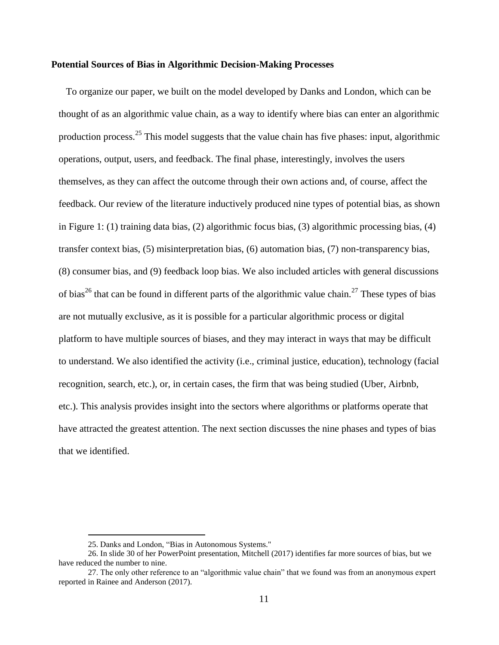#### **Potential Sources of Bias in Algorithmic Decision-Making Processes**

To organize our paper, we built on the model developed by Danks and London, which can be thought of as an algorithmic value chain, as a way to identify where bias can enter an algorithmic production process.<sup>25</sup> This model suggests that the value chain has five phases: input, algorithmic operations, output, users, and feedback. The final phase, interestingly, involves the users themselves, as they can affect the outcome through their own actions and, of course, affect the feedback. Our review of the literature inductively produced nine types of potential bias, as shown in Figure 1: (1) training data bias, (2) algorithmic focus bias, (3) algorithmic processing bias, (4) transfer context bias, (5) misinterpretation bias, (6) automation bias, (7) non-transparency bias, (8) consumer bias, and (9) feedback loop bias. We also included articles with general discussions of bias<sup>26</sup> that can be found in different parts of the algorithmic value chain.<sup>27</sup> These types of bias are not mutually exclusive, as it is possible for a particular algorithmic process or digital platform to have multiple sources of biases, and they may interact in ways that may be difficult to understand. We also identified the activity (i.e., criminal justice, education), technology (facial recognition, search, etc.), or, in certain cases, the firm that was being studied (Uber, Airbnb, etc.). This analysis provides insight into the sectors where algorithms or platforms operate that have attracted the greatest attention. The next section discusses the nine phases and types of bias that we identified.

<sup>25.</sup> Danks and London, "Bias in Autonomous Systems."

<sup>26.</sup> In slide 30 of her PowerPoint presentation, Mitchell (2017) identifies far more sources of bias, but we have reduced the number to nine.

<sup>27.</sup> The only other reference to an "algorithmic value chain" that we found was from an anonymous expert reported in Rainee and Anderson (2017).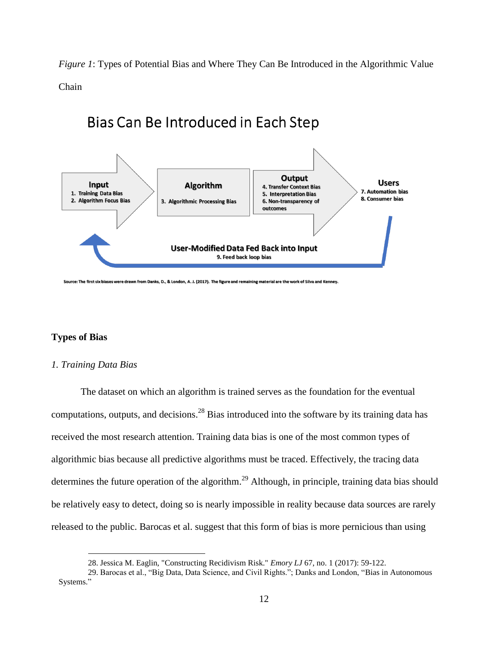*Figure 1*: Types of Potential Bias and Where They Can Be Introduced in the Algorithmic Value

Chain

# Bias Can Be Introduced in Each Step



Source: The first six biases were drawn from Danks, D., & London, A. J. (2017). The figure and remaining material are the work of Silva and Kenney.

## **Types of Bias**

#### *1. Training Data Bias*

 $\overline{a}$ 

The dataset on which an algorithm is trained serves as the foundation for the eventual computations, outputs, and decisions.<sup>28</sup> Bias introduced into the software by its training data has received the most research attention. Training data bias is one of the most common types of algorithmic bias because all predictive algorithms must be traced. Effectively, the tracing data determines the future operation of the algorithm.<sup>29</sup> Although, in principle, training data bias should be relatively easy to detect, doing so is nearly impossible in reality because data sources are rarely released to the public. Barocas et al. suggest that this form of bias is more pernicious than using

<sup>28.</sup> Jessica M. Eaglin, "Constructing Recidivism Risk." *Emory LJ* 67, no. 1 (2017): 59-122.

<sup>29.</sup> Barocas et al., "Big Data, Data Science, and Civil Rights."; Danks and London, "Bias in Autonomous Systems."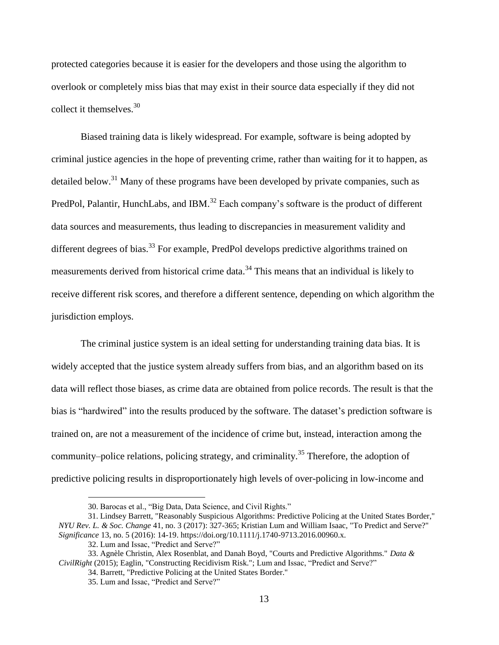protected categories because it is easier for the developers and those using the algorithm to overlook or completely miss bias that may exist in their source data especially if they did not collect it themselves.  $30<sup>30</sup>$ 

Biased training data is likely widespread. For example, software is being adopted by criminal justice agencies in the hope of preventing crime, rather than waiting for it to happen, as detailed below.<sup>31</sup> Many of these programs have been developed by private companies, such as PredPol, Palantir, HunchLabs, and IBM.<sup>32</sup> Each company's software is the product of different data sources and measurements, thus leading to discrepancies in measurement validity and different degrees of bias.<sup>33</sup> For example, PredPol develops predictive algorithms trained on measurements derived from historical crime data.<sup>34</sup> This means that an individual is likely to receive different risk scores, and therefore a different sentence, depending on which algorithm the jurisdiction employs.

The criminal justice system is an ideal setting for understanding training data bias. It is widely accepted that the justice system already suffers from bias, and an algorithm based on its data will reflect those biases, as crime data are obtained from police records. The result is that the bias is "hardwired" into the results produced by the software. The dataset's prediction software is trained on, are not a measurement of the incidence of crime but, instead, interaction among the community–police relations, policing strategy, and criminality.<sup>35</sup> Therefore, the adoption of predictive policing results in disproportionately high levels of over-policing in low-income and

<sup>30.</sup> Barocas et al., "Big Data, Data Science, and Civil Rights."

<sup>31.</sup> Lindsey Barrett, "Reasonably Suspicious Algorithms: Predictive Policing at the United States Border," *NYU Rev. L. & Soc. Change* 41, no. 3 (2017): 327-365; Kristian Lum and William Isaac, "To Predict and Serve?" *Significance* 13, no. 5 (2016): 14-19. https://doi.org/10.1111/j.1740-9713.2016.00960.x.

<sup>32.</sup> Lum and Issac, "Predict and Serve?"

<sup>33.</sup> Agnèle Christin, Alex Rosenblat, and Danah Boyd, "Courts and Predictive Algorithms." *Data & CivilRight* (2015); Eaglin, "Constructing Recidivism Risk."; Lum and Issac, "Predict and Serve?"

<sup>34.</sup> Barrett, "Predictive Policing at the United States Border." 35. Lum and Issac, "Predict and Serve?"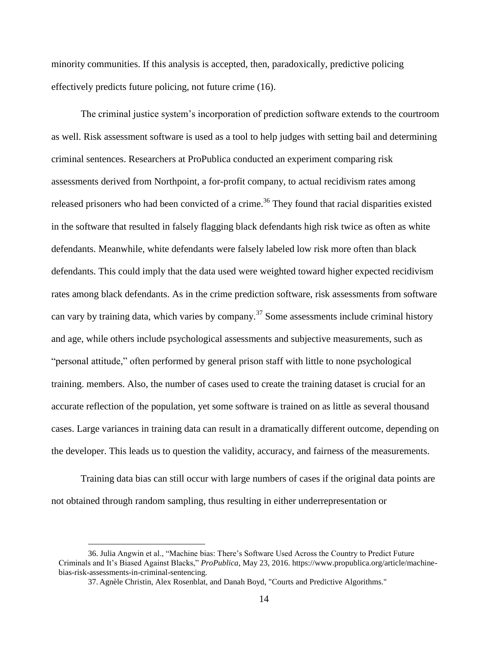minority communities. If this analysis is accepted, then, paradoxically, predictive policing effectively predicts future policing, not future crime (16).

The criminal justice system's incorporation of prediction software extends to the courtroom as well. Risk assessment software is used as a tool to help judges with setting bail and determining criminal sentences. Researchers at ProPublica conducted an experiment comparing risk assessments derived from Northpoint, a for-profit company, to actual recidivism rates among released prisoners who had been convicted of a crime.<sup>36</sup> They found that racial disparities existed in the software that resulted in falsely flagging black defendants high risk twice as often as white defendants. Meanwhile, white defendants were falsely labeled low risk more often than black defendants. This could imply that the data used were weighted toward higher expected recidivism rates among black defendants. As in the crime prediction software, risk assessments from software can vary by training data, which varies by company.<sup>37</sup> Some assessments include criminal history and age, while others include psychological assessments and subjective measurements, such as "personal attitude," often performed by general prison staff with little to none psychological training. members. Also, the number of cases used to create the training dataset is crucial for an accurate reflection of the population, yet some software is trained on as little as several thousand cases. Large variances in training data can result in a dramatically different outcome, depending on the developer. This leads us to question the validity, accuracy, and fairness of the measurements.

Training data bias can still occur with large numbers of cases if the original data points are not obtained through random sampling, thus resulting in either underrepresentation or

<sup>36.</sup> Julia Angwin et al., "Machine bias: There's Software Used Across the Country to Predict Future Criminals and It's Biased Against Blacks," *ProPublica*, May 23, 2016. https://www.propublica.org/article/machinebias-risk-assessments-in-criminal-sentencing.

<sup>37.</sup> Agnèle Christin, Alex Rosenblat, and Danah Boyd, "Courts and Predictive Algorithms."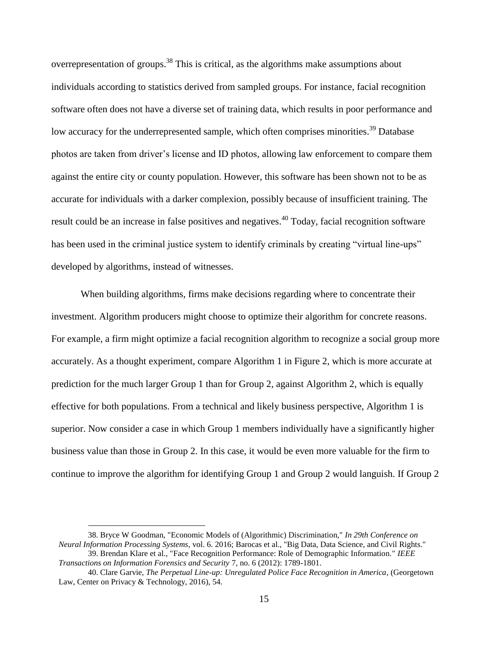overrepresentation of groups.<sup>38</sup> This is critical, as the algorithms make assumptions about individuals according to statistics derived from sampled groups. For instance, facial recognition software often does not have a diverse set of training data, which results in poor performance and low accuracy for the underrepresented sample, which often comprises minorities.<sup>39</sup> Database photos are taken from driver's license and ID photos, allowing law enforcement to compare them against the entire city or county population. However, this software has been shown not to be as accurate for individuals with a darker complexion, possibly because of insufficient training. The result could be an increase in false positives and negatives.<sup>40</sup> Today, facial recognition software has been used in the criminal justice system to identify criminals by creating "virtual line-ups" developed by algorithms, instead of witnesses.

When building algorithms, firms make decisions regarding where to concentrate their investment. Algorithm producers might choose to optimize their algorithm for concrete reasons. For example, a firm might optimize a facial recognition algorithm to recognize a social group more accurately. As a thought experiment, compare Algorithm 1 in Figure 2, which is more accurate at prediction for the much larger Group 1 than for Group 2, against Algorithm 2, which is equally effective for both populations. From a technical and likely business perspective, Algorithm 1 is superior. Now consider a case in which Group 1 members individually have a significantly higher business value than those in Group 2. In this case, it would be even more valuable for the firm to continue to improve the algorithm for identifying Group 1 and Group 2 would languish. If Group 2

<sup>38.</sup> Bryce W Goodman, "Economic Models of (Algorithmic) Discrimination," *In 29th Conference on Neural Information Processing Systems*, vol. 6. 2016; Barocas et al., "Big Data, Data Science, and Civil Rights." 39. Brendan Klare et al., "Face Recognition Performance: Role of Demographic Information." *IEEE* 

*Transactions on Information Forensics and Security* 7, no. 6 (2012): 1789-1801.

<sup>40.</sup> Clare Garvie, *The Perpetual Line-up: Unregulated Police Face Recognition in America*, (Georgetown Law, Center on Privacy & Technology, 2016), 54.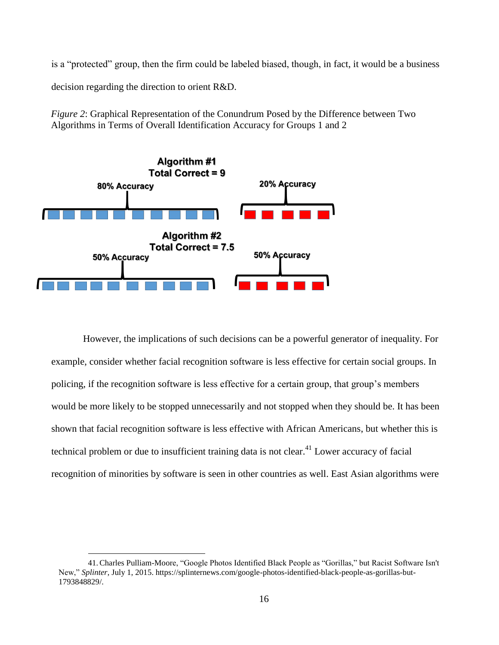is a "protected" group, then the firm could be labeled biased, though, in fact, it would be a business

decision regarding the direction to orient R&D.

 $\overline{a}$ 

*Figure 2*: Graphical Representation of the Conundrum Posed by the Difference between Two Algorithms in Terms of Overall Identification Accuracy for Groups 1 and 2



However, the implications of such decisions can be a powerful generator of inequality. For example, consider whether facial recognition software is less effective for certain social groups. In policing, if the recognition software is less effective for a certain group, that group's members would be more likely to be stopped unnecessarily and not stopped when they should be. It has been shown that facial recognition software is less effective with African Americans, but whether this is technical problem or due to insufficient training data is not clear.<sup>41</sup> Lower accuracy of facial recognition of minorities by software is seen in other countries as well. East Asian algorithms were

<sup>41.</sup>Charles Pulliam-Moore, "Google Photos Identified Black People as "Gorillas," but Racist Software Isn't New," *Splinter*, July 1, 2015. https://splinternews.com/google-photos-identified-black-people-as-gorillas-but-1793848829/.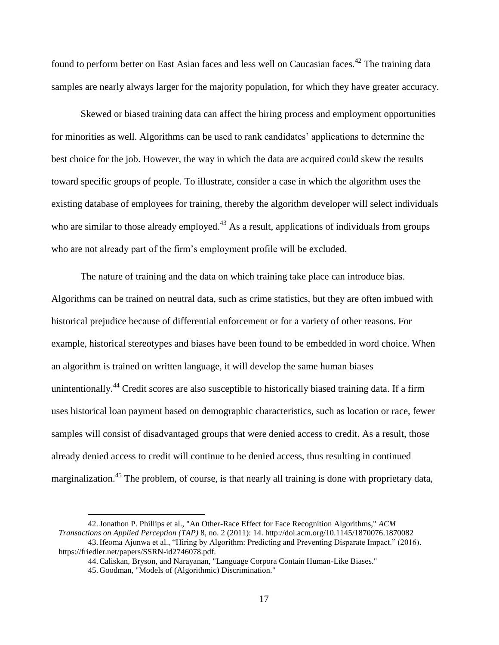found to perform better on East Asian faces and less well on Caucasian faces.<sup>42</sup> The training data samples are nearly always larger for the majority population, for which they have greater accuracy.

Skewed or biased training data can affect the hiring process and employment opportunities for minorities as well. Algorithms can be used to rank candidates' applications to determine the best choice for the job. However, the way in which the data are acquired could skew the results toward specific groups of people. To illustrate, consider a case in which the algorithm uses the existing database of employees for training, thereby the algorithm developer will select individuals who are similar to those already employed.<sup>43</sup> As a result, applications of individuals from groups who are not already part of the firm's employment profile will be excluded.

The nature of training and the data on which training take place can introduce bias. Algorithms can be trained on neutral data, such as crime statistics, but they are often imbued with historical prejudice because of differential enforcement or for a variety of other reasons. For example, historical stereotypes and biases have been found to be embedded in word choice. When an algorithm is trained on written language, it will develop the same human biases unintentionally.<sup>44</sup> Credit scores are also susceptible to historically biased training data. If a firm uses historical loan payment based on demographic characteristics, such as location or race, fewer samples will consist of disadvantaged groups that were denied access to credit. As a result, those already denied access to credit will continue to be denied access, thus resulting in continued marginalization.<sup>45</sup> The problem, of course, is that nearly all training is done with proprietary data,

<sup>42.</sup>Jonathon P. Phillips et al., "An Other-Race Effect for Face Recognition Algorithms," *ACM Transactions on Applied Perception (TAP)* 8, no. 2 (2011): 14. http://doi.acm.org/10.1145/1870076.1870082

<sup>43.</sup>Ifeoma Ajunwa et al., "Hiring by Algorithm: Predicting and Preventing Disparate Impact." (2016). https://friedler.net/papers/SSRN-id2746078.pdf.

<sup>44.</sup>Caliskan, Bryson, and Narayanan, "Language Corpora Contain Human-Like Biases."

<sup>45.</sup> Goodman, "Models of (Algorithmic) Discrimination."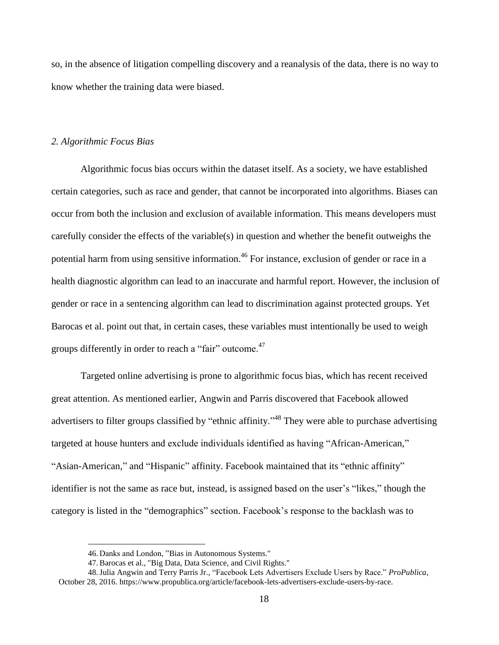so, in the absence of litigation compelling discovery and a reanalysis of the data, there is no way to know whether the training data were biased.

#### *2. Algorithmic Focus Bias*

Algorithmic focus bias occurs within the dataset itself. As a society, we have established certain categories, such as race and gender, that cannot be incorporated into algorithms. Biases can occur from both the inclusion and exclusion of available information. This means developers must carefully consider the effects of the variable(s) in question and whether the benefit outweighs the potential harm from using sensitive information.<sup>46</sup> For instance, exclusion of gender or race in a health diagnostic algorithm can lead to an inaccurate and harmful report. However, the inclusion of gender or race in a sentencing algorithm can lead to discrimination against protected groups. Yet Barocas et al. point out that, in certain cases, these variables must intentionally be used to weigh groups differently in order to reach a "fair" outcome.<sup>47</sup>

Targeted online advertising is prone to algorithmic focus bias, which has recent received great attention. As mentioned earlier, Angwin and Parris discovered that Facebook allowed advertisers to filter groups classified by "ethnic affinity."<sup>48</sup> They were able to purchase advertising targeted at house hunters and exclude individuals identified as having "African-American," "Asian-American," and "Hispanic" affinity. Facebook maintained that its "ethnic affinity" identifier is not the same as race but, instead, is assigned based on the user's "likes," though the category is listed in the "demographics" section. Facebook's response to the backlash was to

<sup>46.</sup> Danks and London, "Bias in Autonomous Systems."

<sup>47.</sup>Barocas et al., "Big Data, Data Science, and Civil Rights."

<sup>48.</sup>Julia Angwin and Terry Parris Jr., "Facebook Lets Advertisers Exclude Users by Race." *ProPublica*, October 28, 2016. https://www.propublica.org/article/facebook-lets-advertisers-exclude-users-by-race.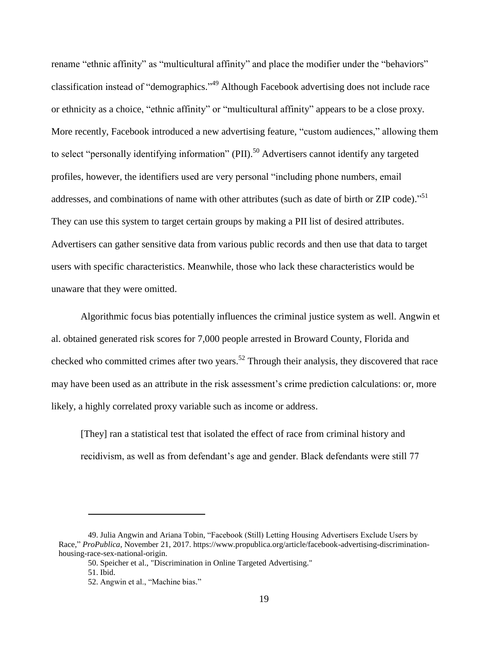rename "ethnic affinity" as "multicultural affinity" and place the modifier under the "behaviors" classification instead of "demographics." <sup>49</sup> Although Facebook advertising does not include race or ethnicity as a choice, "ethnic affinity" or "multicultural affinity" appears to be a close proxy. More recently, Facebook introduced a new advertising feature, "custom audiences," allowing them to select "personally identifying information" (PII).<sup>50</sup> Advertisers cannot identify any targeted profiles, however, the identifiers used are very personal "including phone numbers, email addresses, and combinations of name with other attributes (such as date of birth or ZIP code)."<sup>51</sup> They can use this system to target certain groups by making a PII list of desired attributes. Advertisers can gather sensitive data from various public records and then use that data to target users with specific characteristics. Meanwhile, those who lack these characteristics would be unaware that they were omitted.

Algorithmic focus bias potentially influences the criminal justice system as well. Angwin et al. obtained generated risk scores for 7,000 people arrested in Broward County, Florida and checked who committed crimes after two years.<sup>52</sup> Through their analysis, they discovered that race may have been used as an attribute in the risk assessment's crime prediction calculations: or, more likely, a highly correlated proxy variable such as income or address.

[They] ran a statistical test that isolated the effect of race from criminal history and recidivism, as well as from defendant's age and gender. Black defendants were still 77

<sup>49.</sup> Julia Angwin and Ariana Tobin, "Facebook (Still) Letting Housing Advertisers Exclude Users by Race," *ProPublica*, November 21, 2017. https://www.propublica.org/article/facebook-advertising-discriminationhousing-race-sex-national-origin.

<sup>50.</sup> Speicher et al., "Discrimination in Online Targeted Advertising."

<sup>51.</sup> Ibid.

<sup>52.</sup> Angwin et al., "Machine bias."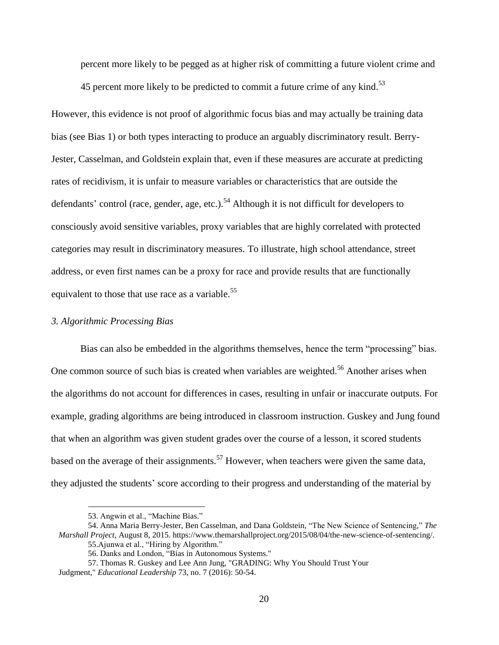percent more likely to be pegged as at higher risk of committing a future violent crime and

45 percent more likely to be predicted to commit a future crime of any kind.<sup>53</sup>

However, this evidence is not proof of algorithmic focus bias and may actually be training data bias (see Bias 1) or both types interacting to produce an arguably discriminatory result. Berry-Jester, Casselman, and Goldstein explain that, even if these measures are accurate at predicting rates of recidivism, it is unfair to measure variables or characteristics that are outside the defendants' control (race, gender, age, etc.).<sup>54</sup> Although it is not difficult for developers to consciously avoid sensitive variables, proxy variables that are highly correlated with protected categories may result in discriminatory measures. To illustrate, high school attendance, street address, or even first names can be a proxy for race and provide results that are functionally equivalent to those that use race as a variable.<sup>55</sup>

#### *3. Algorithmic Processing Bias*

Bias can also be embedded in the algorithms themselves, hence the term "processing" bias. One common source of such bias is created when variables are weighted.<sup>56</sup> Another arises when the algorithms do not account for differences in cases, resulting in unfair or inaccurate outputs. For example, grading algorithms are being introduced in classroom instruction. Guskey and Jung found that when an algorithm was given student grades over the course of a lesson, it scored students based on the average of their assignments.<sup>57</sup> However, when teachers were given the same data, they adjusted the students' score according to their progress and understanding of the material by

<sup>53.</sup> Angwin et al., "Machine Bias."

<sup>54.</sup> Anna Maria Berry-Jester, Ben Casselman, and Dana Goldstein, "The New Science of Sentencing," *The Marshall Project,* August 8, 2015. https://www.themarshallproject.org/2015/08/04/the-new-science-of-sentencing/. 55.Ajunwa et al., "Hiring by Algorithm."

<sup>56.</sup> Danks and London, "Bias in Autonomous Systems."

<sup>57.</sup> Thomas R. Guskey and Lee Ann Jung, "GRADING: Why You Should Trust Your

Judgment," *Educational Leadership* 73, no. 7 (2016): 50-54.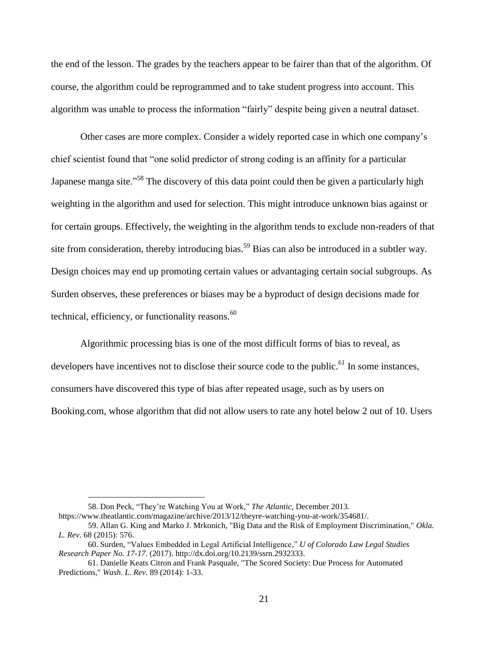the end of the lesson. The grades by the teachers appear to be fairer than that of the algorithm. Of course, the algorithm could be reprogrammed and to take student progress into account. This algorithm was unable to process the information "fairly" despite being given a neutral dataset.

Other cases are more complex. Consider a widely reported case in which one company's chief scientist found that "one solid predictor of strong coding is an affinity for a particular Japanese manga site."<sup>58</sup> The discovery of this data point could then be given a particularly high weighting in the algorithm and used for selection. This might introduce unknown bias against or for certain groups. Effectively, the weighting in the algorithm tends to exclude non-readers of that site from consideration, thereby introducing bias.<sup>59</sup> Bias can also be introduced in a subtler way. Design choices may end up promoting certain values or advantaging certain social subgroups. As Surden observes, these preferences or biases may be a byproduct of design decisions made for technical, efficiency, or functionality reasons. $60$ 

Algorithmic processing bias is one of the most difficult forms of bias to reveal, as developers have incentives not to disclose their source code to the public.<sup>61</sup> In some instances, consumers have discovered this type of bias after repeated usage, such as by users on Booking.com, whose algorithm that did not allow users to rate any hotel below 2 out of 10. Users

<sup>58.</sup> Don Peck, "They're Watching You at Work," *The Atlantic*, December 2013.

https://www.theatlantic.com/magazine/archive/2013/12/theyre-watching-you-at-work/354681/.

<sup>59.</sup> Allan G. King and Marko J. Mrkonich, "Big Data and the Risk of Employment Discrimination," *Okla. L. Rev*. 68 (2015): 576.

<sup>60.</sup> Surden, "Values Embedded in Legal Artificial Intelligence," *U of Colorado Law Legal Studies Research Paper No. 17-17.* (2017). http://dx.doi.org/10.2139/ssrn.2932333.

<sup>61.</sup> Danielle Keats Citron and Frank Pasquale, "The Scored Society: Due Process for Automated Predictions," *Wash. L. Rev.* 89 (2014): 1-33.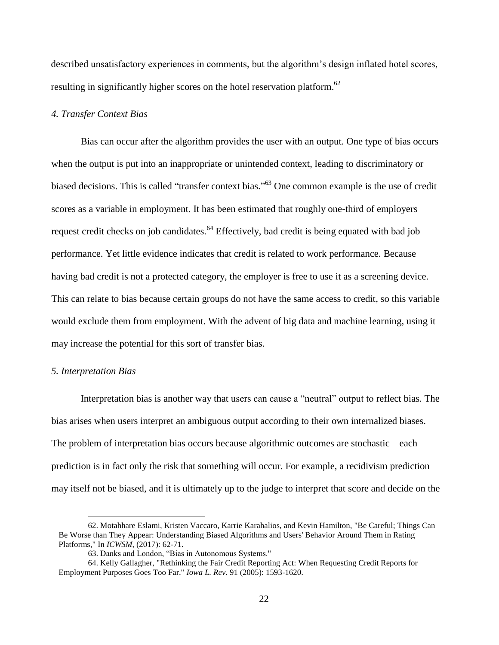described unsatisfactory experiences in comments, but the algorithm's design inflated hotel scores, resulting in significantly higher scores on the hotel reservation platform.<sup>62</sup>

#### *4. Transfer Context Bias*

Bias can occur after the algorithm provides the user with an output. One type of bias occurs when the output is put into an inappropriate or unintended context, leading to discriminatory or biased decisions. This is called "transfer context bias."<sup>63</sup> One common example is the use of credit scores as a variable in employment. It has been estimated that roughly one-third of employers request credit checks on job candidates.<sup>64</sup> Effectively, bad credit is being equated with bad job performance. Yet little evidence indicates that credit is related to work performance. Because having bad credit is not a protected category, the employer is free to use it as a screening device. This can relate to bias because certain groups do not have the same access to credit, so this variable would exclude them from employment. With the advent of big data and machine learning, using it may increase the potential for this sort of transfer bias.

#### *5. Interpretation Bias*

 $\overline{a}$ 

Interpretation bias is another way that users can cause a "neutral" output to reflect bias. The bias arises when users interpret an ambiguous output according to their own internalized biases. The problem of interpretation bias occurs because algorithmic outcomes are stochastic—each prediction is in fact only the risk that something will occur. For example, a recidivism prediction may itself not be biased, and it is ultimately up to the judge to interpret that score and decide on the

<sup>62.</sup> Motahhare Eslami, Kristen Vaccaro, Karrie Karahalios, and Kevin Hamilton, "Be Careful; Things Can Be Worse than They Appear: Understanding Biased Algorithms and Users' Behavior Around Them in Rating Platforms," In *ICWSM*, (2017): 62-71.

<sup>63.</sup> Danks and London, "Bias in Autonomous Systems."

<sup>64.</sup> Kelly Gallagher, "Rethinking the Fair Credit Reporting Act: When Requesting Credit Reports for Employment Purposes Goes Too Far." *Iowa L. Rev.* 91 (2005): 1593-1620.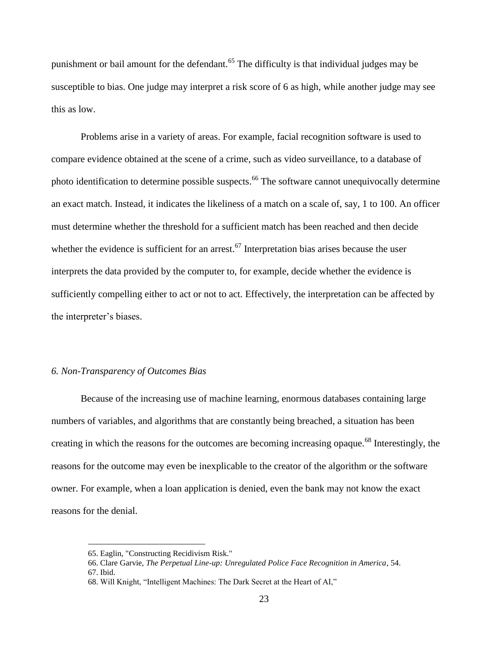punishment or bail amount for the defendant.<sup>65</sup> The difficulty is that individual judges may be susceptible to bias. One judge may interpret a risk score of 6 as high, while another judge may see this as low.

Problems arise in a variety of areas. For example, facial recognition software is used to compare evidence obtained at the scene of a crime, such as video surveillance, to a database of photo identification to determine possible suspects.<sup>66</sup> The software cannot unequivocally determine an exact match. Instead, it indicates the likeliness of a match on a scale of, say, 1 to 100. An officer must determine whether the threshold for a sufficient match has been reached and then decide whether the evidence is sufficient for an arrest.<sup>67</sup> Interpretation bias arises because the user interprets the data provided by the computer to, for example, decide whether the evidence is sufficiently compelling either to act or not to act. Effectively, the interpretation can be affected by the interpreter's biases.

### *6. Non-Transparency of Outcomes Bias*

Because of the increasing use of machine learning, enormous databases containing large numbers of variables, and algorithms that are constantly being breached, a situation has been creating in which the reasons for the outcomes are becoming increasing opaque.<sup>68</sup> Interestingly, the reasons for the outcome may even be inexplicable to the creator of the algorithm or the software owner. For example, when a loan application is denied, even the bank may not know the exact reasons for the denial.

<sup>65.</sup> Eaglin, "Constructing Recidivism Risk."

<sup>66.</sup> Clare Garvie, *The Perpetual Line-up: Unregulated Police Face Recognition in America*, 54. 67. Ibid.

<sup>68.</sup> Will Knight, "Intelligent Machines: The Dark Secret at the Heart of AI,"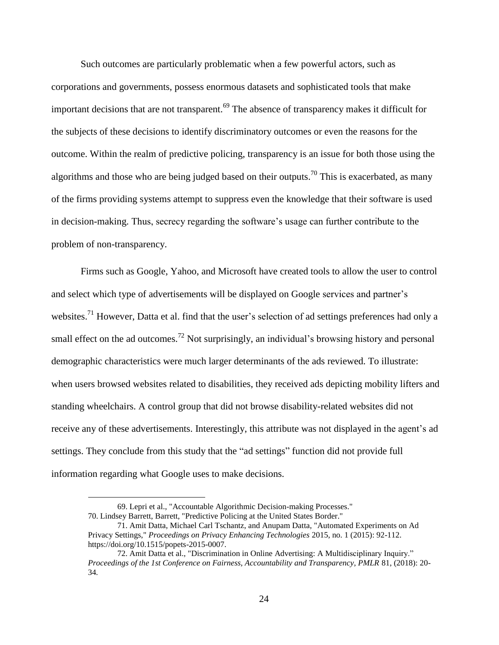Such outcomes are particularly problematic when a few powerful actors, such as corporations and governments, possess enormous datasets and sophisticated tools that make important decisions that are not transparent.<sup>69</sup> The absence of transparency makes it difficult for the subjects of these decisions to identify discriminatory outcomes or even the reasons for the outcome. Within the realm of predictive policing, transparency is an issue for both those using the algorithms and those who are being judged based on their outputs.<sup>70</sup> This is exacerbated, as many of the firms providing systems attempt to suppress even the knowledge that their software is used in decision-making. Thus, secrecy regarding the software's usage can further contribute to the problem of non-transparency.

Firms such as Google, Yahoo, and Microsoft have created tools to allow the user to control and select which type of advertisements will be displayed on Google services and partner's websites.<sup>71</sup> However, Datta et al. find that the user's selection of ad settings preferences had only a small effect on the ad outcomes.<sup>72</sup> Not surprisingly, an individual's browsing history and personal demographic characteristics were much larger determinants of the ads reviewed. To illustrate: when users browsed websites related to disabilities, they received ads depicting mobility lifters and standing wheelchairs. A control group that did not browse disability-related websites did not receive any of these advertisements. Interestingly, this attribute was not displayed in the agent's ad settings. They conclude from this study that the "ad settings" function did not provide full information regarding what Google uses to make decisions.

<sup>69.</sup> Lepri et al., "Accountable Algorithmic Decision-making Processes." 70. Lindsey Barrett, Barrett, "Predictive Policing at the United States Border."

<sup>71.</sup> Amit Datta, Michael Carl Tschantz, and Anupam Datta, "Automated Experiments on Ad Privacy Settings," *Proceedings on Privacy Enhancing Technologies* 2015, no. 1 (2015): 92-112. https://doi.org/10.1515/popets-2015-0007.

<sup>72.</sup> Amit Datta et al., "Discrimination in Online Advertising: A Multidisciplinary Inquiry." *Proceedings of the 1st Conference on Fairness, Accountability and Transparency, PMLR* 81, (2018): 20- 34*.*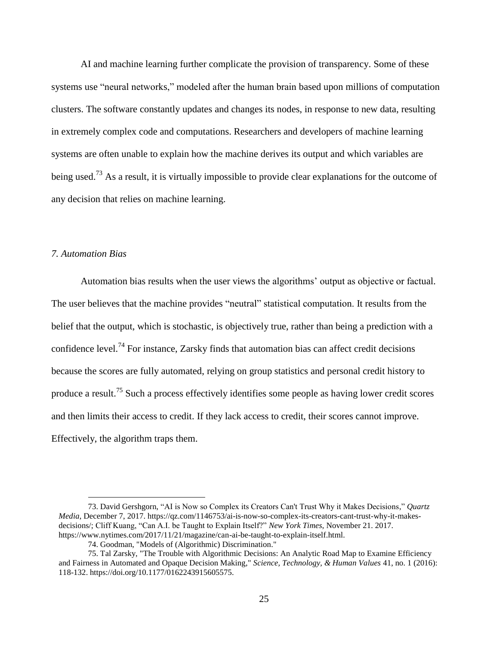AI and machine learning further complicate the provision of transparency. Some of these systems use "neural networks," modeled after the human brain based upon millions of computation clusters. The software constantly updates and changes its nodes, in response to new data, resulting in extremely complex code and computations. Researchers and developers of machine learning systems are often unable to explain how the machine derives its output and which variables are being used.<sup>73</sup> As a result, it is virtually impossible to provide clear explanations for the outcome of any decision that relies on machine learning.

#### *7. Automation Bias*

 $\overline{a}$ 

Automation bias results when the user views the algorithms' output as objective or factual. The user believes that the machine provides "neutral" statistical computation. It results from the belief that the output, which is stochastic, is objectively true, rather than being a prediction with a confidence level.<sup>74</sup> For instance, Zarsky finds that automation bias can affect credit decisions because the scores are fully automated, relying on group statistics and personal credit history to produce a result.<sup>75</sup> Such a process effectively identifies some people as having lower credit scores and then limits their access to credit. If they lack access to credit, their scores cannot improve. Effectively, the algorithm traps them.

<sup>73.</sup> David Gershgorn, "AI is Now so Complex its Creators Can't Trust Why it Makes Decisions," *Quartz Media*, December 7, 2017. https://qz.com/1146753/ai-is-now-so-complex-its-creators-cant-trust-why-it-makesdecisions/; Cliff Kuang, "Can A.I. be Taught to Explain Itself?" *New York Times*, November 21. 2017. https://www.nytimes.com/2017/11/21/magazine/can-ai-be-taught-to-explain-itself.html.

<sup>74.</sup> Goodman, "Models of (Algorithmic) Discrimination."

<sup>75.</sup> Tal Zarsky, "The Trouble with Algorithmic Decisions: An Analytic Road Map to Examine Efficiency and Fairness in Automated and Opaque Decision Making," *Science, Technology, & Human Values* 41, no. 1 (2016): 118-132. https://doi.org/10.1177/0162243915605575.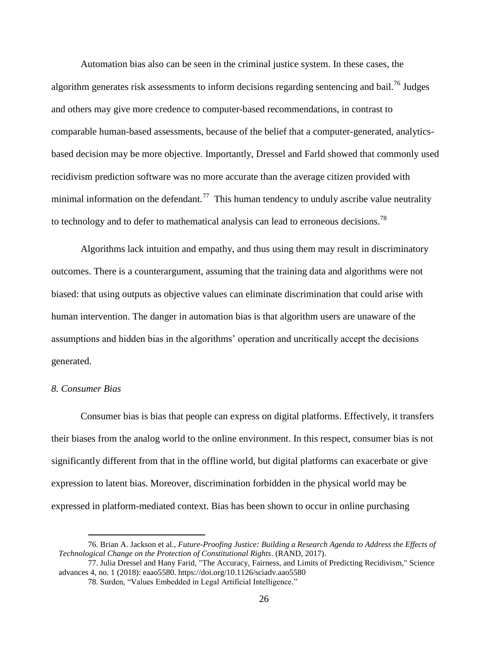Automation bias also can be seen in the criminal justice system. In these cases, the algorithm generates risk assessments to inform decisions regarding sentencing and bail.<sup>76</sup> Judges and others may give more credence to computer-based recommendations, in contrast to comparable human-based assessments, because of the belief that a computer-generated, analyticsbased decision may be more objective. Importantly, Dressel and Farld showed that commonly used recidivism prediction software was no more accurate than the average citizen provided with minimal information on the defendant.<sup>77</sup> This human tendency to unduly ascribe value neutrality to technology and to defer to mathematical analysis can lead to erroneous decisions.<sup>78</sup>

Algorithms lack intuition and empathy, and thus using them may result in discriminatory outcomes. There is a counterargument, assuming that the training data and algorithms were not biased: that using outputs as objective values can eliminate discrimination that could arise with human intervention. The danger in automation bias is that algorithm users are unaware of the assumptions and hidden bias in the algorithms' operation and uncritically accept the decisions generated.

#### *8. Consumer Bias*

 $\overline{a}$ 

Consumer bias is bias that people can express on digital platforms. Effectively, it transfers their biases from the analog world to the online environment. In this respect, consumer bias is not significantly different from that in the offline world, but digital platforms can exacerbate or give expression to latent bias. Moreover, discrimination forbidden in the physical world may be expressed in platform-mediated context. Bias has been shown to occur in online purchasing

<sup>76.</sup> Brian A. Jackson et al., *Future-Proofing Justice: Building a Research Agenda to Address the Effects of Technological Change on the Protection of Constitutional Rights*. (RAND, 2017).

<sup>77.</sup> Julia Dressel and Hany Farid, "The Accuracy, Fairness, and Limits of Predicting Recidivism," Science advances 4, no. 1 (2018): eaao5580. https://doi.org/10.1126/sciadv.aao5580

<sup>78.</sup> Surden, "Values Embedded in Legal Artificial Intelligence."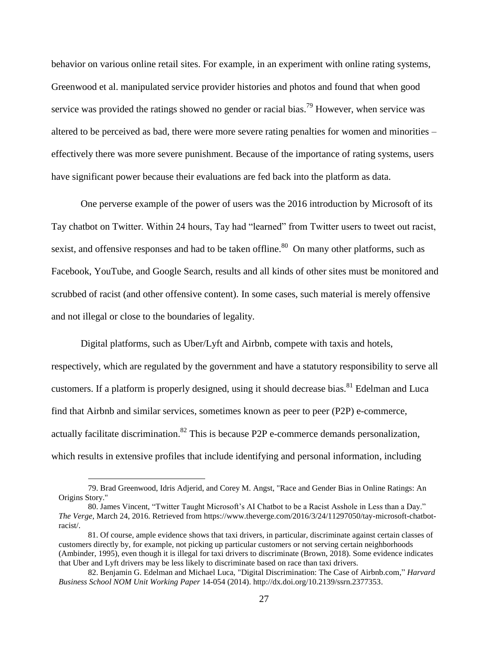behavior on various online retail sites. For example, in an experiment with online rating systems, Greenwood et al. manipulated service provider histories and photos and found that when good service was provided the ratings showed no gender or racial bias.<sup>79</sup> However, when service was altered to be perceived as bad, there were more severe rating penalties for women and minorities – effectively there was more severe punishment. Because of the importance of rating systems, users have significant power because their evaluations are fed back into the platform as data.

One perverse example of the power of users was the 2016 introduction by Microsoft of its Tay chatbot on Twitter. Within 24 hours, Tay had "learned" from Twitter users to tweet out racist, sexist, and offensive responses and had to be taken offline.<sup>80</sup> On many other platforms, such as Facebook, YouTube, and Google Search, results and all kinds of other sites must be monitored and scrubbed of racist (and other offensive content). In some cases, such material is merely offensive and not illegal or close to the boundaries of legality.

Digital platforms, such as Uber/Lyft and Airbnb, compete with taxis and hotels, respectively, which are regulated by the government and have a statutory responsibility to serve all customers. If a platform is properly designed, using it should decrease bias.<sup>81</sup> Edelman and Luca find that Airbnb and similar services, sometimes known as peer to peer (P2P) e-commerce, actually facilitate discrimination.<sup>82</sup> This is because P2P e-commerce demands personalization, which results in extensive profiles that include identifying and personal information, including

<sup>79.</sup> Brad Greenwood, Idris Adjerid, and Corey M. Angst, "Race and Gender Bias in Online Ratings: An Origins Story."

<sup>80.</sup> James Vincent, "Twitter Taught Microsoft's AI Chatbot to be a Racist Asshole in Less than a Day." *The Verge*, March 24, 2016. Retrieved from [https://www.theverge.com/2016/3/24/11297050/tay-microsoft-chatbot](https://www.theverge.com/2016/3/24/11297050/tay-microsoft-chatbot-racist)[racist/](https://www.theverge.com/2016/3/24/11297050/tay-microsoft-chatbot-racist).

<sup>81.</sup> Of course, ample evidence shows that taxi drivers, in particular, discriminate against certain classes of customers directly by, for example, not picking up particular customers or not serving certain neighborhoods (Ambinder, 1995), even though it is illegal for taxi drivers to discriminate (Brown, 2018). Some evidence indicates that Uber and Lyft drivers may be less likely to discriminate based on race than taxi drivers.

<sup>82.</sup> Benjamin G. Edelman and Michael Luca, "Digital Discrimination: The Case of Airbnb.com," *Harvard Business School NOM Unit Working Paper* 14-054 (2014). [http://dx.doi.org/10.2139/ssrn.2377353.](http://dx.doi.org/10.2139/ssrn.2377353)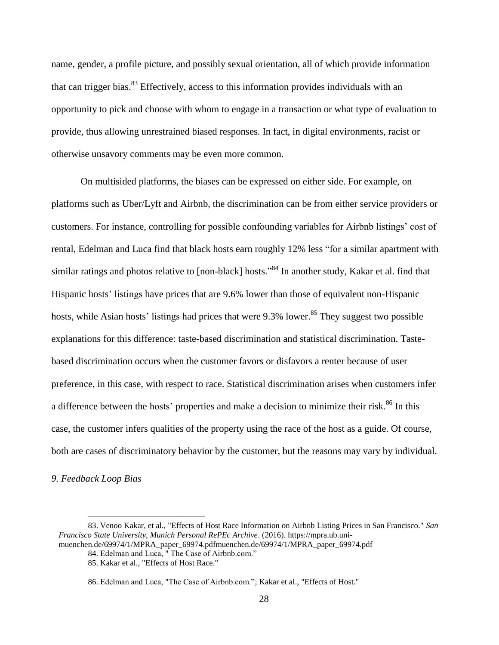name, gender, a profile picture, and possibly sexual orientation, all of which provide information that can trigger bias.<sup>83</sup> Effectively, access to this information provides individuals with an opportunity to pick and choose with whom to engage in a transaction or what type of evaluation to provide, thus allowing unrestrained biased responses. In fact, in digital environments, racist or otherwise unsavory comments may be even more common.

On multisided platforms, the biases can be expressed on either side. For example, on platforms such as Uber/Lyft and Airbnb, the discrimination can be from either service providers or customers. For instance, controlling for possible confounding variables for Airbnb listings' cost of rental, Edelman and Luca find that black hosts earn roughly 12% less "for a similar apartment with similar ratings and photos relative to [non-black] hosts."<sup>84</sup> In another study, Kakar et al. find that Hispanic hosts' listings have prices that are 9.6% lower than those of equivalent non-Hispanic hosts, while Asian hosts' listings had prices that were 9.3% lower.<sup>85</sup> They suggest two possible explanations for this difference: taste-based discrimination and statistical discrimination. Tastebased discrimination occurs when the customer favors or disfavors a renter because of user preference, in this case, with respect to race. Statistical discrimination arises when customers infer a difference between the hosts' properties and make a decision to minimize their risk.<sup>86</sup> In this case, the customer infers qualities of the property using the race of the host as a guide. Of course, both are cases of discriminatory behavior by the customer, but the reasons may vary by individual.

*9. Feedback Loop Bias*

<sup>83.</sup> Venoo Kakar, et al., "Effects of Host Race Information on Airbnb Listing Prices in San Francisco." *San Francisco State University, Munich Personal RePEc Archive*. (2016). https://mpra.ub.unimuenchen.de/69974/1/MPRA\_paper\_69974.pdfmuenchen.de/69974/1/MPRA\_paper\_69974.pdf

<sup>84.</sup> Edelman and Luca, " The Case of Airbnb.com."

<sup>85.</sup> Kakar et al., "Effects of Host Race."

<sup>86.</sup> Edelman and Luca, "The Case of Airbnb.com."; Kakar et al., "Effects of Host."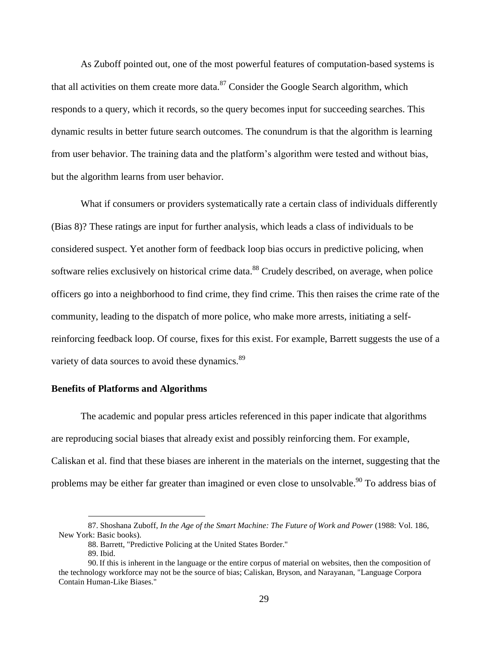As Zuboff pointed out, one of the most powerful features of computation-based systems is that all activities on them create more data. $87$  Consider the Google Search algorithm, which responds to a query, which it records, so the query becomes input for succeeding searches. This dynamic results in better future search outcomes. The conundrum is that the algorithm is learning from user behavior. The training data and the platform's algorithm were tested and without bias, but the algorithm learns from user behavior.

What if consumers or providers systematically rate a certain class of individuals differently (Bias 8)? These ratings are input for further analysis, which leads a class of individuals to be considered suspect. Yet another form of feedback loop bias occurs in predictive policing, when software relies exclusively on historical crime data.<sup>88</sup> Crudely described, on average, when police officers go into a neighborhood to find crime, they find crime. This then raises the crime rate of the community, leading to the dispatch of more police, who make more arrests, initiating a selfreinforcing feedback loop. Of course, fixes for this exist. For example, Barrett suggests the use of a variety of data sources to avoid these dynamics.<sup>89</sup>

#### **Benefits of Platforms and Algorithms**

The academic and popular press articles referenced in this paper indicate that algorithms are reproducing social biases that already exist and possibly reinforcing them. For example, Caliskan et al. find that these biases are inherent in the materials on the internet, suggesting that the problems may be either far greater than imagined or even close to unsolvable.<sup>90</sup> To address bias of

<sup>87.</sup> Shoshana Zuboff, *In the Age of the Smart Machine: The Future of Work and Power* (1988: Vol. 186, New York: Basic books).

<sup>88.</sup> Barrett, "Predictive Policing at the United States Border."

<sup>89.</sup> Ibid.

<sup>90.</sup>If this is inherent in the language or the entire corpus of material on websites, then the composition of the technology workforce may not be the source of bias; Caliskan, Bryson, and Narayanan, "Language Corpora Contain Human-Like Biases."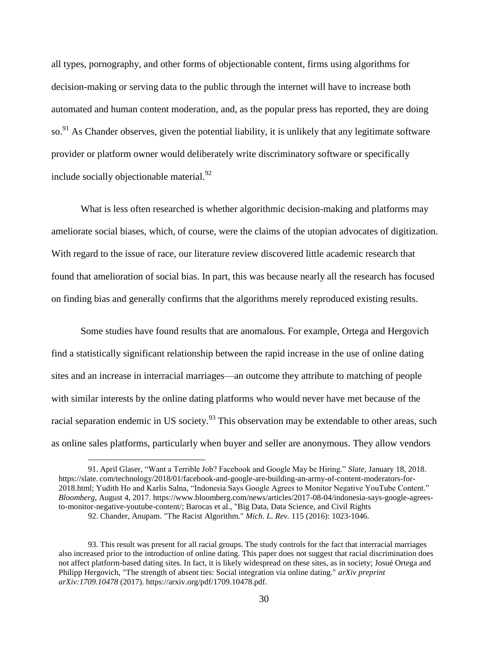all types, pornography, and other forms of objectionable content, firms using algorithms for decision-making or serving data to the public through the internet will have to increase both automated and human content moderation, and, as the popular press has reported, they are doing so.<sup>91</sup> As Chander observes, given the potential liability, it is unlikely that any legitimate software provider or platform owner would deliberately write discriminatory software or specifically include socially objectionable material. $^{92}$ 

What is less often researched is whether algorithmic decision-making and platforms may ameliorate social biases, which, of course, were the claims of the utopian advocates of digitization. With regard to the issue of race, our literature review discovered little academic research that found that amelioration of social bias. In part, this was because nearly all the research has focused on finding bias and generally confirms that the algorithms merely reproduced existing results.

Some studies have found results that are anomalous. For example, Ortega and Hergovich find a statistically significant relationship between the rapid increase in the use of online dating sites and an increase in interracial marriages—an outcome they attribute to matching of people with similar interests by the online dating platforms who would never have met because of the racial separation endemic in US society.<sup>93</sup> This observation may be extendable to other areas, such as online sales platforms, particularly when buyer and seller are anonymous. They allow vendors

<sup>91.</sup> April Glaser, "Want a Terrible Job? Facebook and Google May be Hiring." *Slate*, January 18, 2018. https://slate. [com/technology/2018/01/facebook-and-google-are-building-an-army-of-content-moderators-for-](https://slate.com/technology/2018/01/facebook-and-google-are-building-an-army-of-content-moderators-for-2018.html)[2018.html;](https://slate.com/technology/2018/01/facebook-and-google-are-building-an-army-of-content-moderators-for-2018.html) Yudith Ho and Karlis Salna, "Indonesia Says Google Agrees to Monitor Negative YouTube Content." *Bloomberg*, August 4, 2017. [https://www.bloomberg.com/news/articles/2017-08-04/indonesia-says-google-agrees](https://www.bloomberg.com/news/articles/2017-08-04/indonesia-says-google-agrees-to-monitor-negative-youtube-content/)[to-monitor-negative-youtube-content/;](https://www.bloomberg.com/news/articles/2017-08-04/indonesia-says-google-agrees-to-monitor-negative-youtube-content/) Barocas et al., "Big Data, Data Science, and Civil Rights 92. Chander, Anupam. "The Racist Algorithm." *Mich. L. Rev.* 115 (2016): 1023-1046.

<sup>93.</sup> This result was present for all racial groups. The study controls for the fact that interracial marriages also increased prior to the introduction of online dating. This paper does not suggest that racial discrimination does not affect platform-based dating sites. In fact, it is likely widespread on these sites, as in society; Josué Ortega and Philipp Hergovich, "The strength of absent ties: Social integration via online dating." *arXiv preprint arXiv:1709.10478* (2017). https://arxiv.org/pdf/1709.10478.pdf.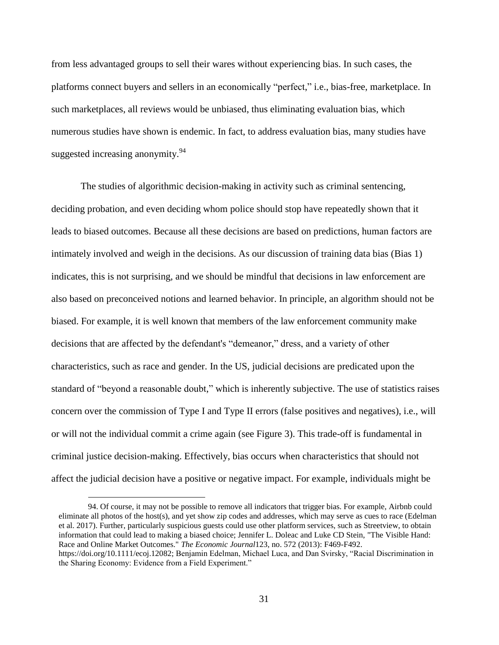from less advantaged groups to sell their wares without experiencing bias. In such cases, the platforms connect buyers and sellers in an economically "perfect," i.e., bias-free, marketplace. In such marketplaces, all reviews would be unbiased, thus eliminating evaluation bias, which numerous studies have shown is endemic. In fact, to address evaluation bias, many studies have suggested increasing anonymity.<sup>94</sup>

The studies of algorithmic decision-making in activity such as criminal sentencing, deciding probation, and even deciding whom police should stop have repeatedly shown that it leads to biased outcomes. Because all these decisions are based on predictions, human factors are intimately involved and weigh in the decisions. As our discussion of training data bias (Bias 1) indicates, this is not surprising, and we should be mindful that decisions in law enforcement are also based on preconceived notions and learned behavior. In principle, an algorithm should not be biased. For example, it is well known that members of the law enforcement community make decisions that are affected by the defendant's "demeanor," dress, and a variety of other characteristics, such as race and gender. In the US, judicial decisions are predicated upon the standard of "beyond a reasonable doubt," which is inherently subjective. The use of statistics raises concern over the commission of Type I and Type II errors (false positives and negatives), i.e., will or will not the individual commit a crime again (see Figure 3). This trade-off is fundamental in criminal justice decision-making. Effectively, bias occurs when characteristics that should not affect the judicial decision have a positive or negative impact. For example, individuals might be

<sup>94.</sup> Of course, it may not be possible to remove all indicators that trigger bias. For example, Airbnb could eliminate all photos of the host(s), and yet show zip codes and addresses, which may serve as cues to race (Edelman et al. 2017). Further, particularly suspicious guests could use other platform services, such as Streetview, to obtain information that could lead to making a biased choice; Jennifer L. Doleac and Luke CD Stein, "The Visible Hand: Race and Online Market Outcomes." *The Economic Journal*123, no. 572 (2013): F469-F492. https://doi.org/10.1111/ecoj.12082; Benjamin Edelman, Michael Luca, and Dan Svirsky, "Racial Discrimination in the Sharing Economy: Evidence from a Field Experiment."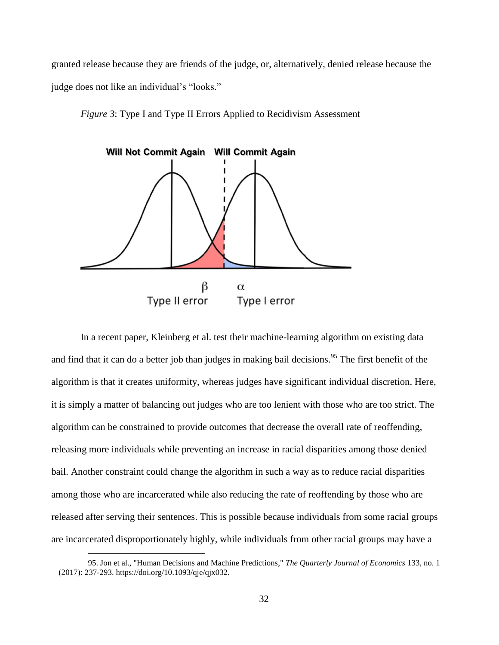granted release because they are friends of the judge, or, alternatively, denied release because the judge does not like an individual's "looks."

*Figure 3*: Type I and Type II Errors Applied to Recidivism Assessment



In a recent paper, Kleinberg et al. test their machine-learning algorithm on existing data and find that it can do a better job than judges in making bail decisions.<sup>95</sup> The first benefit of the algorithm is that it creates uniformity, whereas judges have significant individual discretion. Here, it is simply a matter of balancing out judges who are too lenient with those who are too strict. The algorithm can be constrained to provide outcomes that decrease the overall rate of reoffending, releasing more individuals while preventing an increase in racial disparities among those denied bail. Another constraint could change the algorithm in such a way as to reduce racial disparities among those who are incarcerated while also reducing the rate of reoffending by those who are released after serving their sentences. This is possible because individuals from some racial groups are incarcerated disproportionately highly, while individuals from other racial groups may have a

<sup>95.</sup> Jon et al., "Human Decisions and Machine Predictions," *The Quarterly Journal of Economics* 133, no. 1 (2017): 237-293. https://doi.org/10.1093/qje/qjx032.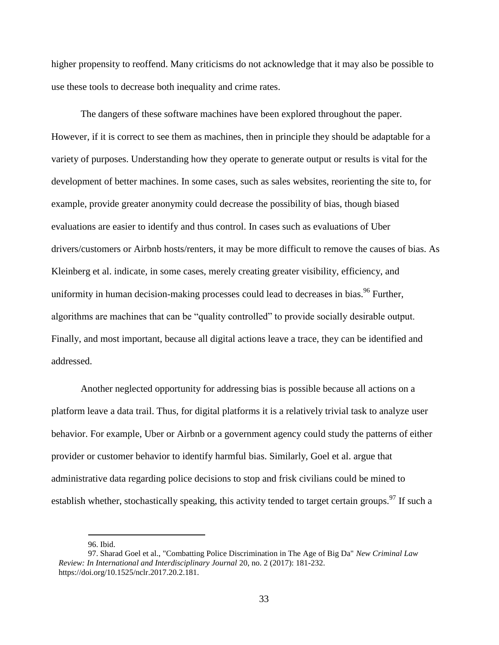higher propensity to reoffend. Many criticisms do not acknowledge that it may also be possible to use these tools to decrease both inequality and crime rates.

The dangers of these software machines have been explored throughout the paper. However, if it is correct to see them as machines, then in principle they should be adaptable for a variety of purposes. Understanding how they operate to generate output or results is vital for the development of better machines. In some cases, such as sales websites, reorienting the site to, for example, provide greater anonymity could decrease the possibility of bias, though biased evaluations are easier to identify and thus control. In cases such as evaluations of Uber drivers/customers or Airbnb hosts/renters, it may be more difficult to remove the causes of bias. As Kleinberg et al. indicate, in some cases, merely creating greater visibility, efficiency, and uniformity in human decision-making processes could lead to decreases in bias.<sup>96</sup> Further, algorithms are machines that can be "quality controlled" to provide socially desirable output. Finally, and most important, because all digital actions leave a trace, they can be identified and addressed.

Another neglected opportunity for addressing bias is possible because all actions on a platform leave a data trail. Thus, for digital platforms it is a relatively trivial task to analyze user behavior. For example, Uber or Airbnb or a government agency could study the patterns of either provider or customer behavior to identify harmful bias. Similarly, Goel et al. argue that administrative data regarding police decisions to stop and frisk civilians could be mined to establish whether, stochastically speaking, this activity tended to target certain groups.<sup>97</sup> If such a

<sup>96.</sup> Ibid.

<sup>97.</sup> Sharad Goel et al., "Combatting Police Discrimination in The Age of Big Da" *New Criminal Law Review: In International and Interdisciplinary Journal* 20, no. 2 (2017): 181-232. https://doi.org/10.1525/nclr.2017.20.2.181.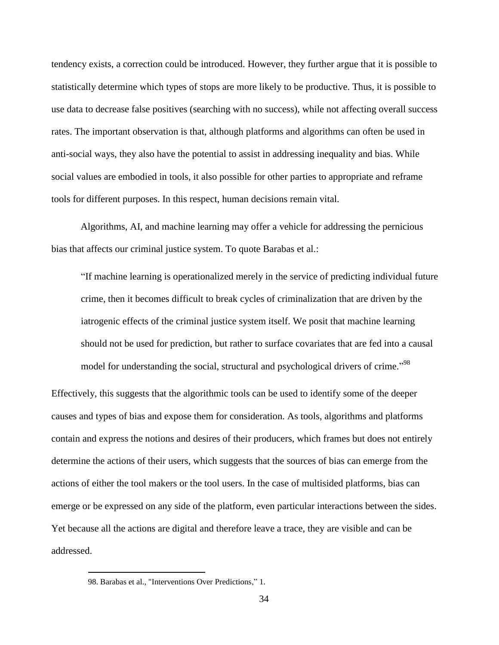tendency exists, a correction could be introduced. However, they further argue that it is possible to statistically determine which types of stops are more likely to be productive. Thus, it is possible to use data to decrease false positives (searching with no success), while not affecting overall success rates. The important observation is that, although platforms and algorithms can often be used in anti-social ways, they also have the potential to assist in addressing inequality and bias. While social values are embodied in tools, it also possible for other parties to appropriate and reframe tools for different purposes. In this respect, human decisions remain vital.

Algorithms, AI, and machine learning may offer a vehicle for addressing the pernicious bias that affects our criminal justice system. To quote Barabas et al.:

"If machine learning is operationalized merely in the service of predicting individual future crime, then it becomes difficult to break cycles of criminalization that are driven by the iatrogenic effects of the criminal justice system itself. We posit that machine learning should not be used for prediction, but rather to surface covariates that are fed into a causal model for understanding the social, structural and psychological drivers of crime."<sup>98</sup>

Effectively, this suggests that the algorithmic tools can be used to identify some of the deeper causes and types of bias and expose them for consideration. As tools, algorithms and platforms contain and express the notions and desires of their producers, which frames but does not entirely determine the actions of their users, which suggests that the sources of bias can emerge from the actions of either the tool makers or the tool users. In the case of multisided platforms, bias can emerge or be expressed on any side of the platform, even particular interactions between the sides. Yet because all the actions are digital and therefore leave a trace, they are visible and can be addressed.

<sup>98.</sup> Barabas et al., "Interventions Over Predictions," 1.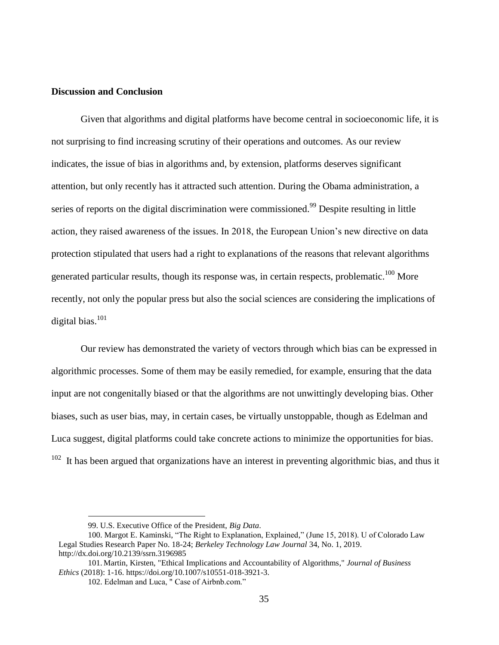#### **Discussion and Conclusion**

Given that algorithms and digital platforms have become central in socioeconomic life, it is not surprising to find increasing scrutiny of their operations and outcomes. As our review indicates, the issue of bias in algorithms and, by extension, platforms deserves significant attention, but only recently has it attracted such attention. During the Obama administration, a series of reports on the digital discrimination were commissioned.<sup>99</sup> Despite resulting in little action, they raised awareness of the issues. In 2018, the European Union's new directive on data protection stipulated that users had a right to explanations of the reasons that relevant algorithms generated particular results, though its response was, in certain respects, problematic.<sup>100</sup> More recently, not only the popular press but also the social sciences are considering the implications of digital bias. 101

Our review has demonstrated the variety of vectors through which bias can be expressed in algorithmic processes. Some of them may be easily remedied, for example, ensuring that the data input are not congenitally biased or that the algorithms are not unwittingly developing bias. Other biases, such as user bias, may, in certain cases, be virtually unstoppable, though as Edelman and Luca suggest, digital platforms could take concrete actions to minimize the opportunities for bias.  $102$  It has been argued that organizations have an interest in preventing algorithmic bias, and thus it

<sup>99.</sup> U.S. Executive Office of the President, *Big Data*.

<sup>100.</sup> Margot E. Kaminski, "The Right to Explanation, Explained," (June 15, 2018). U of Colorado Law Legal Studies Research Paper No. 18-24; *Berkeley Technology Law Journal* 34, No. 1, 2019. http://dx.doi.org/10.2139/ssrn.3196985

<sup>101.</sup> Martin, Kirsten, "Ethical Implications and Accountability of Algorithms," *Journal of Business Ethics* (2018): 1-16. https://doi.org/10.1007/s10551-018-3921-3.

<sup>102.</sup> Edelman and Luca, " Case of Airbnb.com."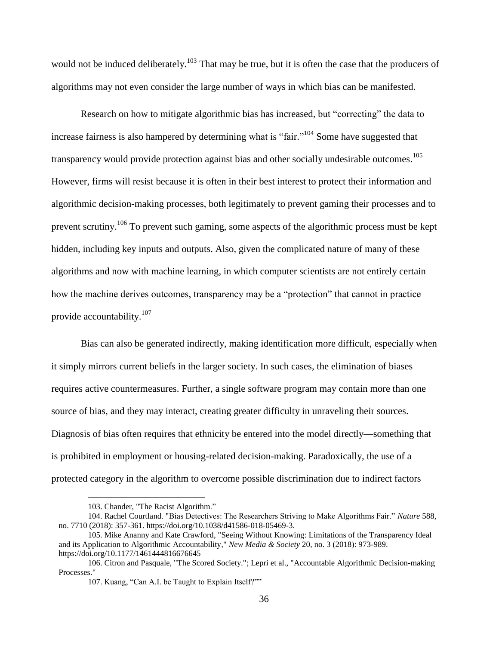would not be induced deliberately.<sup>103</sup> That may be true, but it is often the case that the producers of algorithms may not even consider the large number of ways in which bias can be manifested.

Research on how to mitigate algorithmic bias has increased, but "correcting" the data to increase fairness is also hampered by determining what is "fair."<sup>104</sup> Some have suggested that transparency would provide protection against bias and other socially undesirable outcomes.<sup>105</sup> However, firms will resist because it is often in their best interest to protect their information and algorithmic decision-making processes, both legitimately to prevent gaming their processes and to prevent scrutiny.<sup>106</sup> To prevent such gaming, some aspects of the algorithmic process must be kept hidden, including key inputs and outputs. Also, given the complicated nature of many of these algorithms and now with machine learning, in which computer scientists are not entirely certain how the machine derives outcomes, transparency may be a "protection" that cannot in practice provide accountability.<sup>107</sup>

Bias can also be generated indirectly, making identification more difficult, especially when it simply mirrors current beliefs in the larger society. In such cases, the elimination of biases requires active countermeasures. Further, a single software program may contain more than one source of bias, and they may interact, creating greater difficulty in unraveling their sources. Diagnosis of bias often requires that ethnicity be entered into the model directly—something that is prohibited in employment or housing-related decision-making. Paradoxically, the use of a protected category in the algorithm to overcome possible discrimination due to indirect factors

<sup>103.</sup> Chander, "The Racist Algorithm."

<sup>104.</sup> Rachel Courtland. "Bias Detectives: The Researchers Striving to Make Algorithms Fair." *Nature* 588, no. 7710 (2018): 357-361. https://doi.org/10.1038/d41586-018-05469-3.

<sup>105.</sup> Mike Ananny and Kate Crawford, "Seeing Without Knowing: Limitations of the Transparency Ideal and its Application to Algorithmic Accountability," *New Media & Society* 20, no. 3 (2018): 973-989. https://doi.org/10.1177/1461444816676645

<sup>106.</sup> Citron and Pasquale, "The Scored Society."; Lepri et al., "Accountable Algorithmic Decision-making Processes."

<sup>107.</sup> Kuang, "Can A.I. be Taught to Explain Itself?""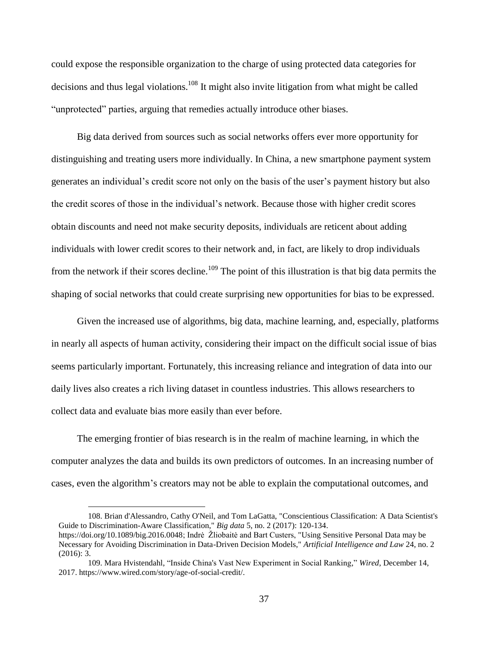could expose the responsible organization to the charge of using protected data categories for decisions and thus legal violations.<sup>108</sup> It might also invite litigation from what might be called "unprotected" parties, arguing that remedies actually introduce other biases.

Big data derived from sources such as social networks offers ever more opportunity for distinguishing and treating users more individually. In China, a new smartphone payment system generates an individual's credit score not only on the basis of the user's payment history but also the credit scores of those in the individual's network. Because those with higher credit scores obtain discounts and need not make security deposits, individuals are reticent about adding individuals with lower credit scores to their network and, in fact, are likely to drop individuals from the network if their scores decline.<sup>109</sup> The point of this illustration is that big data permits the shaping of social networks that could create surprising new opportunities for bias to be expressed.

Given the increased use of algorithms, big data, machine learning, and, especially, platforms in nearly all aspects of human activity, considering their impact on the difficult social issue of bias seems particularly important. Fortunately, this increasing reliance and integration of data into our daily lives also creates a rich living dataset in countless industries. This allows researchers to collect data and evaluate bias more easily than ever before.

The emerging frontier of bias research is in the realm of machine learning, in which the computer analyzes the data and builds its own predictors of outcomes. In an increasing number of cases, even the algorithm's creators may not be able to explain the computational outcomes, and

 $\overline{a}$ 

108. Brian d'Alessandro, Cathy O'Neil, and Tom LaGatta, "Conscientious Classification: A Data Scientist's Guide to Discrimination-Aware Classification," *Big data* 5, no. 2 (2017): 120-134. [https://doi.org/10.1089/big.2016.0048;](https://doi.org/10.1089/big.2016.0048) Indrė Žliobaitė and Bart Custers, "Using Sensitive Personal Data may be Necessary for Avoiding Discrimination in Data-Driven Decision Models," *Artificial Intelligence and Law* 24, no. 2 (2016): 3.

<sup>109.</sup> Mara Hvistendahl, "Inside China's Vast New Experiment in Social Ranking," *Wired*, December 14, 2017. https://www.wired.com/story/age-of-social-credit/.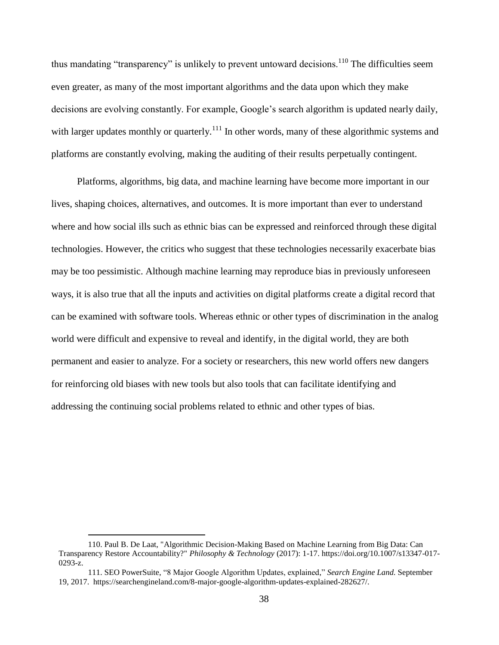thus mandating "transparency" is unlikely to prevent untoward decisions.<sup>110</sup> The difficulties seem even greater, as many of the most important algorithms and the data upon which they make decisions are evolving constantly. For example, Google's search algorithm is updated nearly daily, with larger updates monthly or quarterly.<sup>111</sup> In other words, many of these algorithmic systems and platforms are constantly evolving, making the auditing of their results perpetually contingent.

Platforms, algorithms, big data, and machine learning have become more important in our lives, shaping choices, alternatives, and outcomes. It is more important than ever to understand where and how social ills such as ethnic bias can be expressed and reinforced through these digital technologies. However, the critics who suggest that these technologies necessarily exacerbate bias may be too pessimistic. Although machine learning may reproduce bias in previously unforeseen ways, it is also true that all the inputs and activities on digital platforms create a digital record that can be examined with software tools. Whereas ethnic or other types of discrimination in the analog world were difficult and expensive to reveal and identify, in the digital world, they are both permanent and easier to analyze. For a society or researchers, this new world offers new dangers for reinforcing old biases with new tools but also tools that can facilitate identifying and addressing the continuing social problems related to ethnic and other types of bias.

<sup>110.</sup> Paul B. De Laat, "Algorithmic Decision-Making Based on Machine Learning from Big Data: Can Transparency Restore Accountability?" *Philosophy & Technology* (2017): 1-17. https://doi.org/10.1007/s13347-017- 0293-z.

<sup>111.</sup> SEO PowerSuite, "8 Major Google Algorithm Updates, explained," *Search Engine Land.* September 19, 2017. https://searchengineland.com/8-major-google-algorithm-updates-explained-282627/.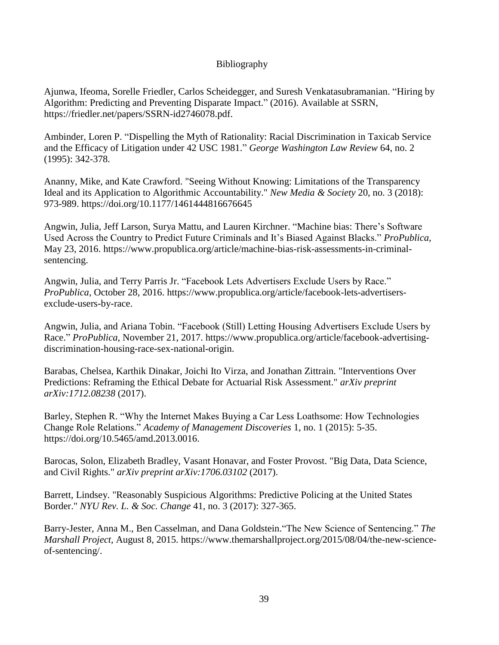## Bibliography

Ajunwa, Ifeoma, Sorelle Friedler, Carlos Scheidegger, and Suresh Venkatasubramanian. "Hiring by Algorithm: Predicting and Preventing Disparate Impact." (2016). Available at SSRN, https://friedler.net/papers/SSRN-id2746078.pdf.

Ambinder, Loren P. "Dispelling the Myth of Rationality: Racial Discrimination in Taxicab Service and the Efficacy of Litigation under 42 USC 1981." *George Washington Law Review* 64, no. 2 (1995): 342-378.

Ananny, Mike, and Kate Crawford. "Seeing Without Knowing: Limitations of the Transparency Ideal and its Application to Algorithmic Accountability." *New Media & Society* 20, no. 3 (2018): 973-989. https://doi.org/10.1177/1461444816676645

Angwin, Julia, Jeff Larson, Surya Mattu, and Lauren Kirchner. "Machine bias: There's Software Used Across the Country to Predict Future Criminals and It's Biased Against Blacks." *ProPublica*, May 23, 2016. https://www.propublica.org/article/machine-bias-risk-assessments-in-criminalsentencing.

Angwin, Julia, and Terry Parris Jr. "Facebook Lets Advertisers Exclude Users by Race." *ProPublica*, October 28, 2016. https://www.propublica.org/article/facebook-lets-advertisersexclude-users-by-race.

Angwin, Julia, and Ariana Tobin. "Facebook (Still) Letting Housing Advertisers Exclude Users by Race." *ProPublica*, November 21, 2017. https://www.propublica.org/article/facebook-advertisingdiscrimination-housing-race-sex-national-origin.

Barabas, Chelsea, Karthik Dinakar, Joichi Ito Virza, and Jonathan Zittrain. "Interventions Over Predictions: Reframing the Ethical Debate for Actuarial Risk Assessment." *arXiv preprint arXiv:1712.08238* (2017).

Barley, Stephen R. "Why the Internet Makes Buying a Car Less Loathsome: How Technologies Change Role Relations." *Academy of Management Discoveries* 1, no. 1 (2015): 5-35. https://doi.org/10.5465/amd.2013.0016.

Barocas, Solon, Elizabeth Bradley, Vasant Honavar, and Foster Provost. "Big Data, Data Science, and Civil Rights." *arXiv preprint arXiv:1706.03102* (2017).

Barrett, Lindsey. "Reasonably Suspicious Algorithms: Predictive Policing at the United States Border." *NYU Rev. L. & Soc. Change* 41, no. 3 (2017): 327-365.

Barry-Jester, Anna M., Ben Casselman, and Dana Goldstein."The New Science of Sentencing." *The Marshall Project,* August 8, 2015. https://www.themarshallproject.org/2015/08/04/the-new-scienceof-sentencing/.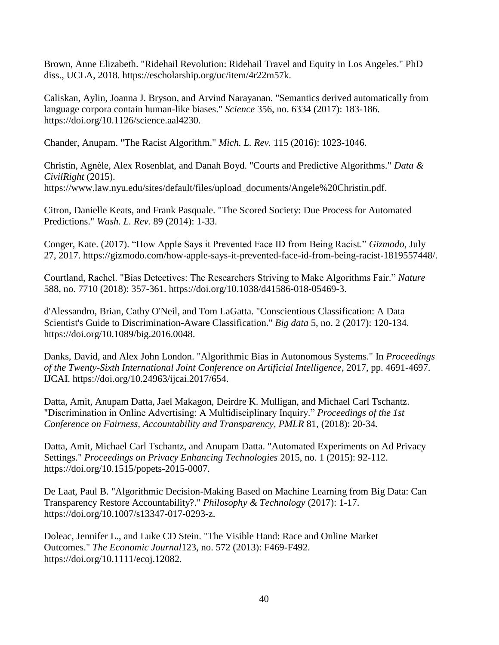Brown, Anne Elizabeth. "Ridehail Revolution: Ridehail Travel and Equity in Los Angeles." PhD diss., UCLA, 2018. https://escholarship.org/uc/item/4r22m57k.

Caliskan, Aylin, Joanna J. Bryson, and Arvind Narayanan. "Semantics derived automatically from language corpora contain human-like biases." *Science* 356, no. 6334 (2017): 183-186. https://doi.org/10.1126/science.aal4230.

Chander, Anupam. "The Racist Algorithm." *Mich. L. Rev.* 115 (2016): 1023-1046.

Christin, Agnèle, Alex Rosenblat, and Danah Boyd. "Courts and Predictive Algorithms." *Data & CivilRight* (2015). https://www.law.nyu.edu/sites/default/files/upload\_documents/Angele%20Christin.pdf.

Citron, Danielle Keats, and Frank Pasquale. "The Scored Society: Due Process for Automated Predictions." *Wash. L. Rev.* 89 (2014): 1-33.

Conger, Kate. (2017). "How Apple Says it Prevented Face ID from Being Racist." *Gizmodo*, July 27, 2017. https://gizmodo.com/how-apple-says-it-prevented-face-id-from-being-racist-1819557448/.

Courtland, Rachel. "Bias Detectives: The Researchers Striving to Make Algorithms Fair." *Nature* 588, no. 7710 (2018): 357-361. https://doi.org/10.1038/d41586-018-05469-3.

d'Alessandro, Brian, Cathy O'Neil, and Tom LaGatta. "Conscientious Classification: A Data Scientist's Guide to Discrimination-Aware Classification." *Big data* 5, no. 2 (2017): 120-134. https://doi.org/10.1089/big.2016.0048.

Danks, David, and Alex John London. "Algorithmic Bias in Autonomous Systems." In *Proceedings of the Twenty-Sixth International Joint Conference on Artificial Intelligence*, 2017, pp. 4691-4697. IJCAI. https://doi.org/10.24963/ijcai.2017/654.

Datta, Amit, Anupam Datta, Jael Makagon, Deirdre K. Mulligan, and Michael Carl Tschantz. "Discrimination in Online Advertising: A Multidisciplinary Inquiry." *Proceedings of the 1st Conference on Fairness, Accountability and Transparency, PMLR* 81, (2018): 20-34*.*

Datta, Amit, Michael Carl Tschantz, and Anupam Datta. "Automated Experiments on Ad Privacy Settings." *Proceedings on Privacy Enhancing Technologies* 2015, no. 1 (2015): 92-112. https://doi.org/10.1515/popets-2015-0007.

De Laat, Paul B. "Algorithmic Decision-Making Based on Machine Learning from Big Data: Can Transparency Restore Accountability?." *Philosophy & Technology* (2017): 1-17. https://doi.org/10.1007/s13347-017-0293-z.

Doleac, Jennifer L., and Luke CD Stein. "The Visible Hand: Race and Online Market Outcomes." *The Economic Journal*123, no. 572 (2013): F469-F492. https://doi.org/10.1111/ecoj.12082.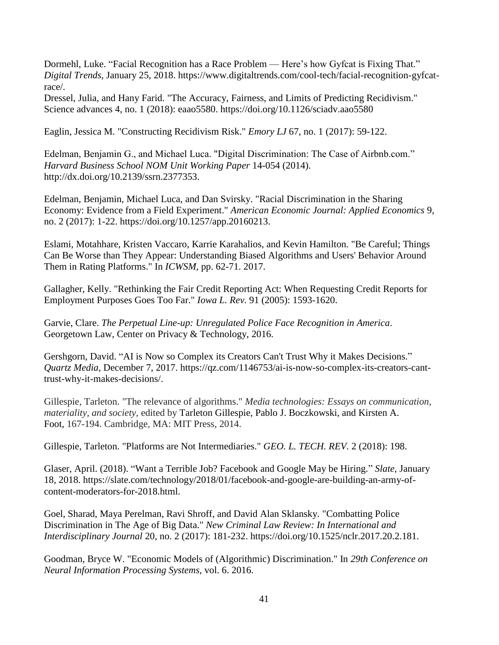Dormehl, Luke. "Facial Recognition has a Race Problem — Here's how Gyfcat is Fixing That." *Digital Trends,* January 25, 2018. https://www.digitaltrends.com/cool-tech/facial-recognition-gyfcatrace/.

Dressel, Julia, and Hany Farid. "The Accuracy, Fairness, and Limits of Predicting Recidivism." Science advances 4, no. 1 (2018): eaao5580. https://doi.org/10.1126/sciadv.aao5580

Eaglin, Jessica M. "Constructing Recidivism Risk." *Emory LJ* 67, no. 1 (2017): 59-122.

Edelman, Benjamin G., and Michael Luca. "Digital Discrimination: The Case of Airbnb.com." *Harvard Business School NOM Unit Working Paper* 14-054 (2014). http://dx.doi.org/10.2139/ssrn.2377353.

Edelman, Benjamin, Michael Luca, and Dan Svirsky. "Racial Discrimination in the Sharing Economy: Evidence from a Field Experiment." *American Economic Journal: Applied Economics* 9, no. 2 (2017): 1-22. https://doi.org/10.1257/app.20160213.

Eslami, Motahhare, Kristen Vaccaro, Karrie Karahalios, and Kevin Hamilton. "Be Careful; Things Can Be Worse than They Appear: Understanding Biased Algorithms and Users' Behavior Around Them in Rating Platforms." In *ICWSM*, pp. 62-71. 2017.

Gallagher, Kelly. "Rethinking the Fair Credit Reporting Act: When Requesting Credit Reports for Employment Purposes Goes Too Far." *Iowa L. Rev.* 91 (2005): 1593-1620.

Garvie, Clare. *The Perpetual Line-up: Unregulated Police Face Recognition in America*. Georgetown Law, Center on Privacy & Technology, 2016.

Gershgorn, David. "AI is Now so Complex its Creators Can't Trust Why it Makes Decisions." *Quartz Media*, December 7, 2017. https://qz.com/1146753/ai-is-now-so-complex-its-creators-canttrust-why-it-makes-decisions/.

Gillespie, Tarleton. "The relevance of algorithms." *Media technologies: Essays on communication, materiality, and society,* edited by Tarleton Gillespie, Pablo J. Boczkowski, and Kirsten A. Foot, 167-194. Cambridge, MA: MIT Press, 2014.

Gillespie, Tarleton. "Platforms are Not Intermediaries." *GEO. L. TECH. REV.* 2 (2018): 198.

Glaser, April. (2018). "Want a Terrible Job? Facebook and Google May be Hiring." *Slate*, January 18, 2018. https://slate.com/technology/2018/01/facebook-and-google-are-building-an-army-ofcontent-moderators-for-2018.html.

Goel, Sharad, Maya Perelman, Ravi Shroff, and David Alan Sklansky. "Combatting Police Discrimination in The Age of Big Data." *New Criminal Law Review: In International and Interdisciplinary Journal* 20, no. 2 (2017): 181-232. https://doi.org/10.1525/nclr.2017.20.2.181.

Goodman, Bryce W. "Economic Models of (Algorithmic) Discrimination." In *29th Conference on Neural Information Processing Systems*, vol. 6. 2016.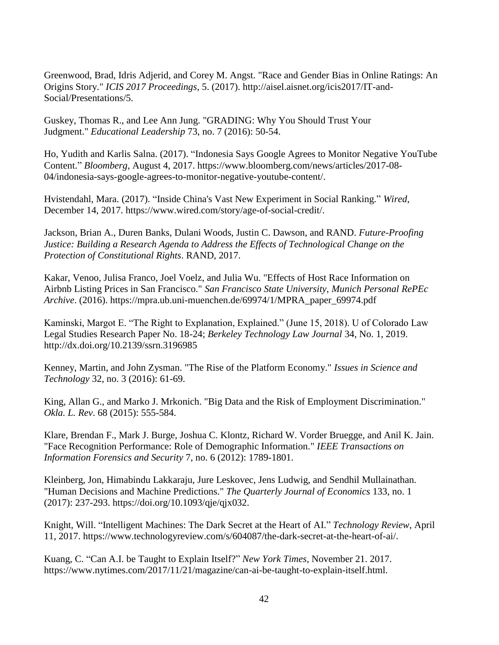Greenwood, Brad, Idris Adjerid, and Corey M. Angst. "Race and Gender Bias in Online Ratings: An Origins Story." *ICIS 2017 Proceedings*, 5. (2017). http://aisel.aisnet.org/icis2017/IT-and-Social/Presentations/5.

Guskey, Thomas R., and Lee Ann Jung. "GRADING: Why You Should Trust Your Judgment." *Educational Leadership* 73, no. 7 (2016): 50-54.

Ho, Yudith and Karlis Salna. (2017). "Indonesia Says Google Agrees to Monitor Negative YouTube Content." *Bloomberg*, August 4, 2017. https://www.bloomberg.com/news/articles/2017-08- 04/indonesia-says-google-agrees-to-monitor-negative-youtube-content/.

Hvistendahl, Mara. (2017). "Inside China's Vast New Experiment in Social Ranking." *Wired*, December 14, 2017. https://www.wired.com/story/age-of-social-credit/.

Jackson, Brian A., Duren Banks, Dulani Woods, Justin C. Dawson, and RAND. *Future-Proofing Justice: Building a Research Agenda to Address the Effects of Technological Change on the Protection of Constitutional Rights*. RAND, 2017.

Kakar, Venoo, Julisa Franco, Joel Voelz, and Julia Wu. "Effects of Host Race Information on Airbnb Listing Prices in San Francisco." *San Francisco State University, Munich Personal RePEc Archive*. (2016). https://mpra.ub.uni-muenchen.de/69974/1/MPRA\_paper\_69974.pdf

Kaminski, Margot E. "The Right to Explanation, Explained." (June 15, 2018). U of Colorado Law Legal Studies Research Paper No. 18-24; *Berkeley Technology Law Journal* 34, No. 1, 2019. http://dx.doi.org/10.2139/ssrn.3196985

Kenney, Martin, and John Zysman. "The Rise of the Platform Economy." *Issues in Science and Technology* 32, no. 3 (2016): 61-69.

King, Allan G., and Marko J. Mrkonich. "Big Data and the Risk of Employment Discrimination." *Okla. L. Rev*. 68 (2015): 555-584.

Klare, Brendan F., Mark J. Burge, Joshua C. Klontz, Richard W. Vorder Bruegge, and Anil K. Jain. "Face Recognition Performance: Role of Demographic Information." *IEEE Transactions on Information Forensics and Security* 7, no. 6 (2012): 1789-1801.

Kleinberg, Jon, Himabindu Lakkaraju, Jure Leskovec, Jens Ludwig, and Sendhil Mullainathan. "Human Decisions and Machine Predictions." *The Quarterly Journal of Economics* 133, no. 1 (2017): 237-293. https://doi.org/10.1093/qje/qjx032.

Knight, Will. "Intelligent Machines: The Dark Secret at the Heart of AI." *Technology Review*, April 11, 2017. https://www.technologyreview.com/s/604087/the-dark-secret-at-the-heart-of-ai/.

Kuang, C. "Can A.I. be Taught to Explain Itself?" *New York Times*, November 21. 2017. https://www.nytimes.com/2017/11/21/magazine/can-ai-be-taught-to-explain-itself.html.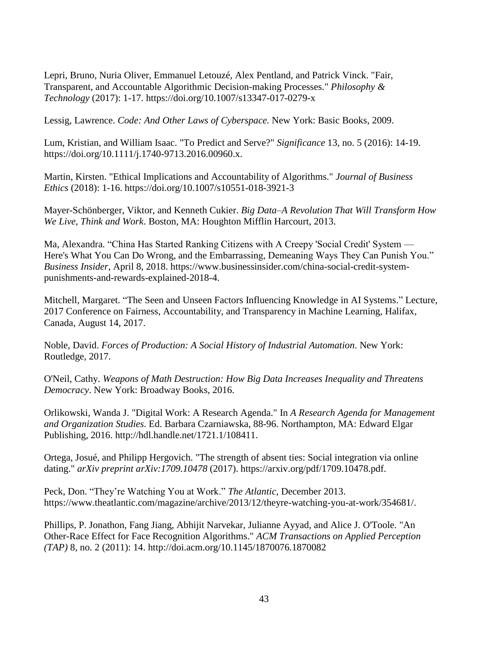Lepri, Bruno, Nuria Oliver, Emmanuel Letouzé, Alex Pentland, and Patrick Vinck. "Fair, Transparent, and Accountable Algorithmic Decision-making Processes." *Philosophy & Technology* (2017): 1-17. https://doi.org/10.1007/s13347-017-0279-x

Lessig, Lawrence. *Code: And Other Laws of Cyberspace.* New York: Basic Books*,* 2009.

Lum, Kristian, and William Isaac. "To Predict and Serve?" *Significance* 13, no. 5 (2016): 14-19. https://doi.org/10.1111/j.1740-9713.2016.00960.x.

Martin, Kirsten. "Ethical Implications and Accountability of Algorithms." *Journal of Business Ethics* (2018): 1-16. https://doi.org/10.1007/s10551-018-3921-3

Mayer-Schönberger, Viktor, and Kenneth Cukier. *Big Data–A Revolution That Will Transform How We Live, Think and Work*. Boston, MA: Houghton Mifflin Harcourt, 2013.

Ma, Alexandra. "China Has Started Ranking Citizens with A Creepy 'Social Credit' System — Here's What You Can Do Wrong, and the Embarrassing, Demeaning Ways They Can Punish You." *Business Insider*, April 8, 2018. https://www.businessinsider.com/china-social-credit-systempunishments-and-rewards-explained-2018-4.

Mitchell, Margaret. "The Seen and Unseen Factors Influencing Knowledge in AI Systems." Lecture, 2017 Conference on Fairness, Accountability, and Transparency in Machine Learning, Halifax, Canada, August 14, 2017.

Noble, David. *Forces of Production: A Social History of Industrial Automation*. New York: Routledge, 2017.

O'Neil, Cathy. *Weapons of Math Destruction: How Big Data Increases Inequality and Threatens Democracy*. New York: Broadway Books, 2016.

Orlikowski, Wanda J. "Digital Work: A Research Agenda." In *A Research Agenda for Management and Organization Studies*. Ed. Barbara Czarniawska, 88-96. Northampton, MA: Edward Elgar Publishing, 2016. http://hdl.handle.net/1721.1/108411.

Ortega, Josué, and Philipp Hergovich. "The strength of absent ties: Social integration via online dating." *arXiv preprint arXiv:1709.10478* (2017). https://arxiv.org/pdf/1709.10478.pdf.

Peck, Don. "They're Watching You at Work." *The Atlantic*, December 2013. https://www.theatlantic.com/magazine/archive/2013/12/theyre-watching-you-at-work/354681/.

Phillips, P. Jonathon, Fang Jiang, Abhijit Narvekar, Julianne Ayyad, and Alice J. O'Toole. "An Other-Race Effect for Face Recognition Algorithms." *ACM Transactions on Applied Perception (TAP)* 8, no. 2 (2011): 14. http://doi.acm.org/10.1145/1870076.1870082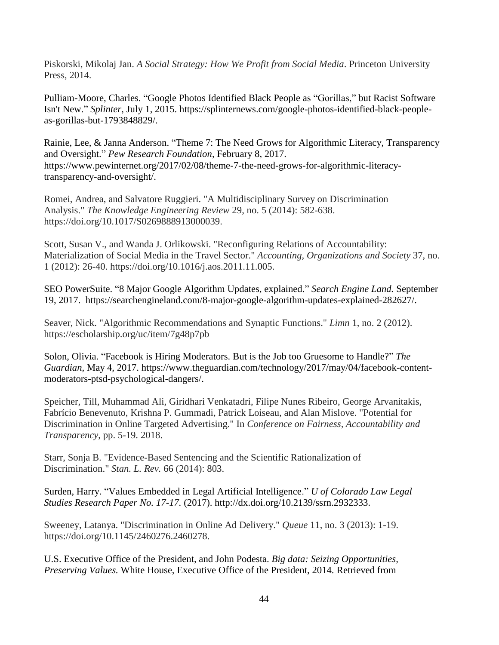Piskorski, Mikolaj Jan. *A Social Strategy: How We Profit from Social Media*. Princeton University Press, 2014.

Pulliam-Moore, Charles. "Google Photos Identified Black People as "Gorillas," but Racist Software Isn't New." *Splinter,* July 1, 2015. https://splinternews.com/google-photos-identified-black-peopleas-gorillas-but-1793848829/.

Rainie, Lee, & Janna Anderson. "Theme 7: The Need Grows for Algorithmic Literacy, Transparency and Oversight." *Pew Research Foundation*, February 8, 2017. https://www.pewinternet.org/2017/02/08/theme-7-the-need-grows-for-algorithmic-literacytransparency-and-oversight/.

Romei, Andrea, and Salvatore Ruggieri. "A Multidisciplinary Survey on Discrimination Analysis." *The Knowledge Engineering Review* 29, no. 5 (2014): 582-638. https://doi.org/10.1017/S0269888913000039.

Scott, Susan V., and Wanda J. Orlikowski. "Reconfiguring Relations of Accountability: Materialization of Social Media in the Travel Sector." *Accounting, Organizations and Society* 37, no. 1 (2012): 26-40. https://doi.org/10.1016/j.aos.2011.11.005.

SEO PowerSuite. "8 Major Google Algorithm Updates, explained." *Search Engine Land.* September 19, 2017. https://searchengineland.com/8-major-google-algorithm-updates-explained-282627/.

Seaver, Nick. "Algorithmic Recommendations and Synaptic Functions." *Limn* 1, no. 2 (2012). https://escholarship.org/uc/item/7g48p7pb

Solon, Olivia. "Facebook is Hiring Moderators. But is the Job too Gruesome to Handle?" *The Guardian*, May 4, 2017. https://www.theguardian.com/technology/2017/may/04/facebook-contentmoderators-ptsd-psychological-dangers/.

Speicher, Till, Muhammad Ali, Giridhari Venkatadri, Filipe Nunes Ribeiro, George Arvanitakis, Fabrício Benevenuto, Krishna P. Gummadi, Patrick Loiseau, and Alan Mislove. "Potential for Discrimination in Online Targeted Advertising." In *Conference on Fairness, Accountability and Transparency*, pp. 5-19. 2018.

Starr, Sonja B. "Evidence-Based Sentencing and the Scientific Rationalization of Discrimination." *Stan. L. Rev.* 66 (2014): 803.

Surden, Harry. "Values Embedded in Legal Artificial Intelligence." *U of Colorado Law Legal Studies Research Paper No. 17-17.* (2017). [http://dx.doi.org/10.2139/ssrn.2932333.](https://dx.doi.org/10.2139/ssrn.2932333)

Sweeney, Latanya. "Discrimination in Online Ad Delivery." *Queue* 11, no. 3 (2013): 1-19. https://doi.org/10.1145/2460276.2460278.

U.S. Executive Office of the President, and John Podesta. *Big data: Seizing Opportunities, Preserving Values.* White House, Executive Office of the President, 2014. Retrieved from